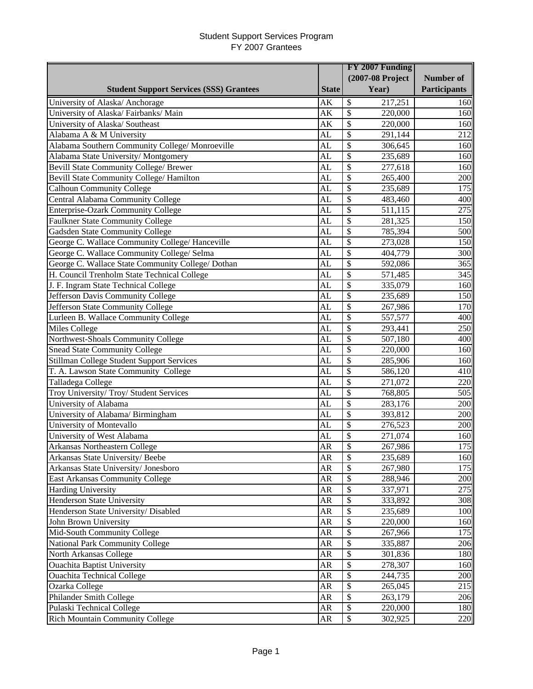|                                                   |              | FY 2007 Funding                     |              |  |  |
|---------------------------------------------------|--------------|-------------------------------------|--------------|--|--|
|                                                   |              | (2007-08 Project                    | Number of    |  |  |
| <b>Student Support Services (SSS) Grantees</b>    | <b>State</b> | Year)                               | Participants |  |  |
| University of Alaska/ Anchorage                   | AK           | \$<br>217,251                       | 160          |  |  |
| University of Alaska/Fairbanks/Main               | AK           | \$<br>220,000                       | 160          |  |  |
| University of Alaska/ Southeast                   | AK           | \$<br>220,000                       | 160          |  |  |
| Alabama A & M University                          | AL           | \$<br>291,144                       | 212          |  |  |
| Alabama Southern Community College/ Monroeville   | AL           | $\overline{\$}$<br>306,645          | 160          |  |  |
| Alabama State University/Montgomery               | AL           | \$<br>235,689                       | 160          |  |  |
| Bevill State Community College/ Brewer            | AL           | \$<br>277,618                       | 160          |  |  |
| Bevill State Community College/ Hamilton          | AL           | \$<br>265,400                       | 200          |  |  |
| <b>Calhoun Community College</b>                  | <b>AL</b>    | \$<br>235,689                       | 175          |  |  |
| Central Alabama Community College                 | AL           | \$<br>483,460                       | 400          |  |  |
| <b>Enterprise-Ozark Community College</b>         | AL           | \$<br>511,115                       | 275          |  |  |
| <b>Faulkner State Community College</b>           | <b>AL</b>    | \$<br>281,325                       | 150          |  |  |
| Gadsden State Community College                   | AL           | \$<br>785,394                       | 500          |  |  |
| George C. Wallace Community College/ Hanceville   | AL           | \$<br>273,028                       | 150          |  |  |
| George C. Wallace Community College/ Selma        | <b>AL</b>    | \$<br>404,779                       | 300          |  |  |
| George C. Wallace State Community College/ Dothan | AL           | \$<br>592,086                       | 365          |  |  |
| H. Council Trenholm State Technical College       | AL           | \$<br>571,485                       | 345          |  |  |
| J. F. Ingram State Technical College              | <b>AL</b>    | \$<br>335,079                       | 160          |  |  |
| Jefferson Davis Community College                 | AL           | \$<br>235,689                       | 150          |  |  |
| Jefferson State Community College                 | AL           | $\overline{\mathcal{S}}$<br>267,986 | 170          |  |  |
| Lurleen B. Wallace Community College              | <b>AL</b>    | $\overline{\$}$<br>557,577          | 400          |  |  |
| <b>Miles College</b>                              | <b>AL</b>    | \$<br>293,441                       | 250          |  |  |
| Northwest-Shoals Community College                | AL           | \$<br>507,180                       | 400          |  |  |
| <b>Snead State Community College</b>              | AL           | \$<br>220,000                       | 160          |  |  |
| Stillman College Student Support Services         | <b>AL</b>    | \$<br>285,906                       | 160          |  |  |
| T. A. Lawson State Community College              | AL           | \$<br>586,120                       | 410          |  |  |
| Talladega College                                 | <b>AL</b>    | \$<br>271,072                       | 220          |  |  |
| Troy University/Troy/Student Services             | <b>AL</b>    | \$<br>768,805                       | 505          |  |  |
| University of Alabama                             | <b>AL</b>    | \$<br>283,176                       | 200          |  |  |
| University of Alabama/ Birmingham                 | <b>AL</b>    | \$<br>393,812                       | 200          |  |  |
| University of Montevallo                          | AL           | \$<br>276,523                       | 200          |  |  |
| University of West Alabama                        | AL           | \$<br>271,074                       | 160          |  |  |
| Arkansas Northeastern College                     | <b>AR</b>    | \$<br>267,986                       | 175          |  |  |
| Arkansas State University/Beebe                   | ${\sf AR}$   | \$<br>235,689                       | 160          |  |  |
| Arkansas State University/ Jonesboro              | <b>AR</b>    | \$<br>267,980                       | 175          |  |  |
| East Arkansas Community College                   | AR           | \$<br>288,946                       | 200          |  |  |
| <b>Harding University</b>                         | AR           | \$<br>337,971                       | 275          |  |  |
| <b>Henderson State University</b>                 | AR           | \$<br>333,892                       | 308          |  |  |
| Henderson State University/ Disabled              | <b>AR</b>    | \$<br>235,689                       | 100          |  |  |
| John Brown University                             | AR           | \$<br>220,000                       | 160          |  |  |
| Mid-South Community College                       | ${\sf AR}$   | \$<br>267,966                       | 175          |  |  |
| National Park Community College                   | AR           | \$<br>335,887                       | 206          |  |  |
| North Arkansas College                            | AR           | \$<br>301,836                       | 180          |  |  |
| <b>Ouachita Baptist University</b>                | AR           | \$<br>278,307                       | 160          |  |  |
| <b>Ouachita Technical College</b>                 | AR           | \$<br>244,735                       | 200          |  |  |
| Ozarka College                                    | AR           | \$<br>265,045                       | 215          |  |  |
| Philander Smith College                           | <b>AR</b>    | \$<br>263,179                       | 206          |  |  |
| Pulaski Technical College                         | <b>AR</b>    | \$<br>220,000                       | 180          |  |  |
| <b>Rich Mountain Community College</b>            | AR           | \$<br>302,925                       | 220          |  |  |
|                                                   |              |                                     |              |  |  |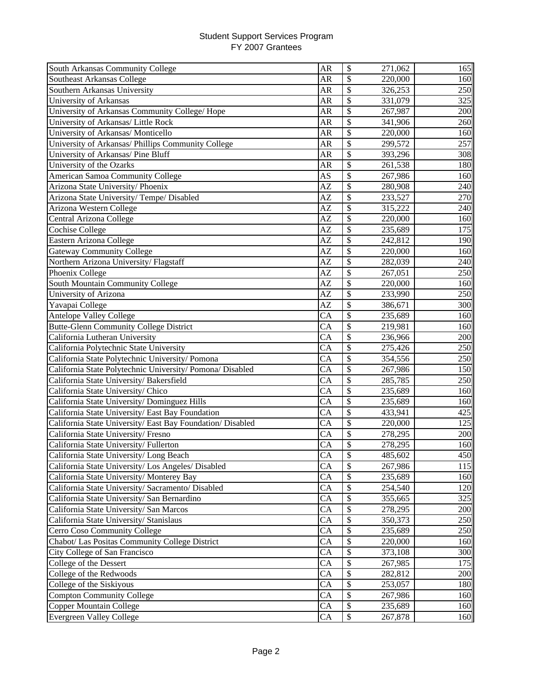| South Arkansas Community College                          | <b>AR</b> | \$<br>271,062                       | 165 |
|-----------------------------------------------------------|-----------|-------------------------------------|-----|
| Southeast Arkansas College                                | <b>AR</b> | \$<br>220,000                       | 160 |
| Southern Arkansas University                              | <b>AR</b> | \$<br>326,253                       | 250 |
| University of Arkansas                                    | AR        | \$<br>331,079                       | 325 |
| University of Arkansas Community College/ Hope            | AR        | $\overline{\mathcal{S}}$<br>267,987 | 200 |
| University of Arkansas/ Little Rock                       | <b>AR</b> | \$<br>341,906                       | 260 |
| University of Arkansas/ Monticello                        | AR        | \$<br>220,000                       | 160 |
| University of Arkansas/ Phillips Community College        | AR        | \$<br>299,572                       | 257 |
| University of Arkansas/ Pine Bluff                        | <b>AR</b> | \$<br>393,296                       | 308 |
| University of the Ozarks                                  | <b>AR</b> | \$<br>261,538                       | 180 |
| American Samoa Community College                          | AS        | \$<br>267,986                       | 160 |
| Arizona State University/ Phoenix                         | AZ        | \$<br>280,908                       | 240 |
| Arizona State University/Tempe/Disabled                   | AZ        | \$<br>233,527                       | 270 |
| Arizona Western College                                   | AZ        | \$<br>315,222                       | 240 |
| Central Arizona College                                   | AZ        | $\overline{\$}$<br>220,000          | 160 |
| <b>Cochise College</b>                                    | AZ        | \$<br>235,689                       | 175 |
| Eastern Arizona College                                   | AZ        | \$<br>242,812                       | 190 |
| <b>Gateway Community College</b>                          | AZ        | \$<br>220,000                       | 160 |
| Northern Arizona University/Flagstaff                     | AZ        | $\overline{\$}$<br>282,039          | 240 |
| Phoenix College                                           | AZ        | \$<br>267,051                       | 250 |
| South Mountain Community College                          | AZ        | \$<br>220,000                       | 160 |
| University of Arizona                                     | AZ        | \$<br>233,990                       | 250 |
| Yavapai College                                           | AZ        | \$<br>386,671                       | 300 |
| <b>Antelope Valley College</b>                            | CA        | \$<br>235,689                       | 160 |
| <b>Butte-Glenn Community College District</b>             | <b>CA</b> | \$<br>219,981                       | 160 |
| California Lutheran University                            | CA        | \$<br>236,966                       | 200 |
| California Polytechnic State University                   | <b>CA</b> | $\overline{\$}$<br>275,426          | 250 |
| California State Polytechnic University/ Pomona           | <b>CA</b> | \$<br>354,556                       | 250 |
| California State Polytechnic University/ Pomona/ Disabled | <b>CA</b> | $\overline{\mathcal{S}}$<br>267,986 | 150 |
| California State University/ Bakersfield                  | CA        | $\overline{\mathcal{S}}$<br>285,785 | 250 |
| California State University/ Chico                        | <b>CA</b> | $\overline{\mathcal{S}}$<br>235,689 | 160 |
| California State University/ Dominguez Hills              | CA        | $\overline{\mathcal{S}}$<br>235,689 | 160 |
| California State University/ East Bay Foundation          | CA        | \$<br>433,941                       | 425 |
| California State University/East Bay Foundation/Disabled  | CA        | \$<br>220,000                       | 125 |
| California State University/Fresno                        | CA        | \$<br>278,295                       | 200 |
| California State University/Fullerton                     | CA        | \$<br>278,295                       | 160 |
| California State University/ Long Beach                   | <b>CA</b> | \$<br>485,602                       | 450 |
| California State University/ Los Angeles/ Disabled        | CA        | \$<br>267,986                       | 115 |
| California State University/ Monterey Bay                 | CA        | \$<br>235,689                       | 160 |
| California State University/ Sacramento/ Disabled         | CA        | \$<br>254,540                       | 120 |
| California State University/ San Bernardino               | CA        | \$<br>355,665                       | 325 |
| California State University/ San Marcos                   | CA        | \$<br>278,295                       | 200 |
| California State University/ Stanislaus                   | CA        | \$<br>350,373                       | 250 |
| Cerro Coso Community College                              | CA        | \$<br>235,689                       | 250 |
| Chabot/ Las Positas Community College District            | CA        | \$<br>220,000                       | 160 |
| City College of San Francisco                             | CA        | \$<br>373,108                       | 300 |
| College of the Dessert                                    | CA        | \$<br>267,985                       | 175 |
| College of the Redwoods                                   | CA        | \$<br>282,812                       | 200 |
| College of the Siskiyous                                  | CA        | \$<br>253,057                       | 180 |
| <b>Compton Community College</b>                          | CA        | \$<br>267,986                       | 160 |
| Copper Mountain College                                   | CA        | \$<br>235,689                       | 160 |
| <b>Evergreen Valley College</b>                           | CA        | \$<br>267,878                       | 160 |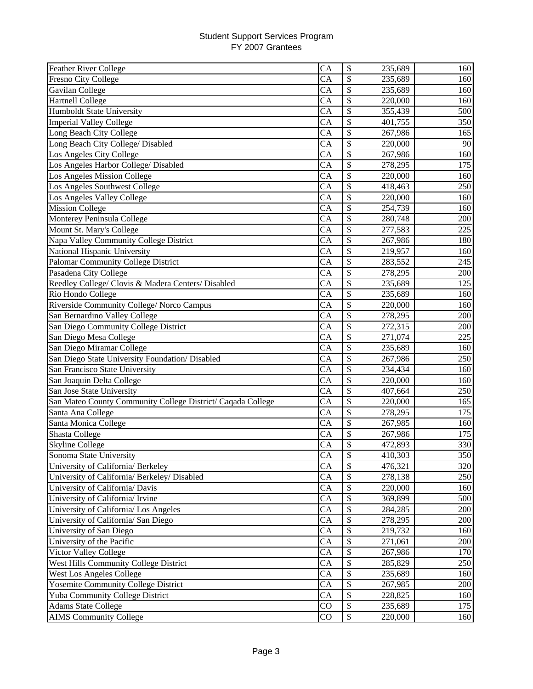| <b>Feather River College</b>                                | CA              | \$                       | 235,689 | 160 |
|-------------------------------------------------------------|-----------------|--------------------------|---------|-----|
| <b>Fresno City College</b>                                  | CA              | \$                       | 235,689 | 160 |
| Gavilan College                                             | CA              | \$                       | 235,689 | 160 |
| <b>Hartnell College</b>                                     | CA              | \$                       | 220,000 | 160 |
| <b>Humboldt State University</b>                            | CA              | \$                       | 355,439 | 500 |
| <b>Imperial Valley College</b>                              | CA              | \$                       | 401,755 | 350 |
| Long Beach City College                                     | CA              | \$                       | 267,986 | 165 |
| Long Beach City College/ Disabled                           | CA              | \$                       | 220,000 | 90  |
| Los Angeles City College                                    | CA              | \$                       | 267,986 | 160 |
| Los Angeles Harbor College/ Disabled                        | CA              | \$                       | 278,295 | 175 |
| Los Angeles Mission College                                 | CA              | \$                       | 220,000 | 160 |
| Los Angeles Southwest College                               | CA              | \$                       | 418,463 | 250 |
| Los Angeles Valley College                                  | CA              | \$                       | 220,000 | 160 |
| <b>Mission College</b>                                      | CA              | \$                       | 254,739 | 160 |
| Monterey Peninsula College                                  | CA              | $\overline{\$}$          | 280,748 | 200 |
| Mount St. Mary's College                                    | CA              | \$                       | 277,583 | 225 |
| Napa Valley Community College District                      | CA              | \$                       | 267,986 | 180 |
| National Hispanic University                                | CA              | \$                       | 219,957 | 160 |
| Palomar Community College District                          | CA              | \$                       | 283,552 | 245 |
| Pasadena City College                                       | CA              | \$                       | 278,295 | 200 |
| Reedley College/ Clovis & Madera Centers/ Disabled          | CA              | \$                       | 235,689 | 125 |
| Rio Hondo College                                           | CA              | \$                       | 235,689 | 160 |
| Riverside Community College/ Norco Campus                   | CA              | \$                       | 220,000 | 160 |
| San Bernardino Valley College                               | CA              | \$                       | 278,295 | 200 |
| San Diego Community College District                        | CA              | \$                       | 272,315 | 200 |
| San Diego Mesa College                                      | CA              | \$                       | 271,074 | 225 |
| San Diego Miramar College                                   | CA              | \$                       | 235,689 | 160 |
| San Diego State University Foundation/ Disabled             | $\overline{CA}$ | \$                       | 267,986 | 250 |
| San Francisco State University                              | CA              | $\overline{\$}$          | 234,434 | 160 |
| San Joaquin Delta College                                   | CA              | \$                       | 220,000 | 160 |
| San Jose State University                                   | CA              | $\overline{\mathcal{S}}$ | 407,664 | 250 |
| San Mateo County Community College District/ Caqada College | CA              | \$                       | 220,000 | 165 |
| Santa Ana College                                           | CA              | \$                       | 278,295 | 175 |
| Santa Monica College                                        | CA              | \$                       | 267,985 | 160 |
| <b>Shasta College</b>                                       | CA              | \$                       | 267,986 | 175 |
| <b>Skyline College</b>                                      | CA              | \$                       | 472,893 | 330 |
| Sonoma State University                                     | <b>CA</b>       | \$                       | 410,303 | 350 |
| University of California/ Berkeley                          | CA              | \$                       | 476,321 | 320 |
| University of California/ Berkeley/ Disabled                | CA              | \$                       | 278,138 | 250 |
| University of California/ Davis                             | CA              | \$                       | 220,000 | 160 |
| University of California/ Irvine                            | CA              | \$                       | 369,899 | 500 |
| University of California/ Los Angeles                       | CA              | \$                       | 284,285 | 200 |
| University of California/ San Diego                         | CA              | \$                       | 278,295 | 200 |
| University of San Diego                                     | CA              | \$                       | 219,732 | 160 |
| University of the Pacific                                   | CA              | \$                       | 271,061 | 200 |
| Victor Valley College                                       | CA              | \$                       | 267,986 | 170 |
| West Hills Community College District                       | CA              | \$                       | 285,829 | 250 |
| <b>West Los Angeles College</b>                             | CA              | \$                       | 235,689 | 160 |
| Yosemite Community College District                         | CA              | \$                       | 267,985 | 200 |
| Yuba Community College District                             | CA              | \$                       | 228,825 | 160 |
| <b>Adams State College</b>                                  | CO              | \$                       | 235,689 | 175 |
| <b>AIMS Community College</b>                               | CO              | \$                       | 220,000 | 160 |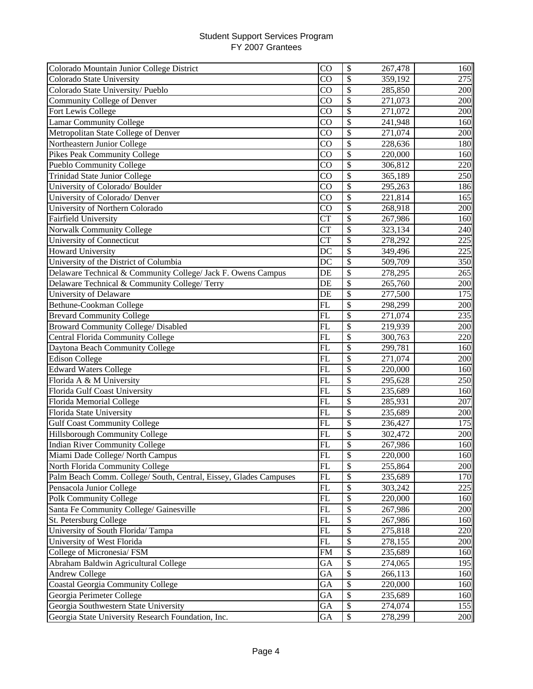| Colorado Mountain Junior College District                         | CO                     | \$                        | 267,478 | 160 |
|-------------------------------------------------------------------|------------------------|---------------------------|---------|-----|
| Colorado State University                                         | CO                     | \$                        | 359,192 | 275 |
| Colorado State University/Pueblo                                  | CO                     | \$                        | 285,850 | 200 |
| Community College of Denver                                       | CO                     | $\boldsymbol{\mathsf{S}}$ | 271,073 | 200 |
| Fort Lewis College                                                | CO                     | $\overline{\$}$           | 271,072 | 200 |
| <b>Lamar Community College</b>                                    | CO                     | \$                        | 241,948 | 160 |
| Metropolitan State College of Denver                              | CO                     | $\overline{\$}$           | 271,074 | 200 |
| Northeastern Junior College                                       | CO                     | \$                        | 228,636 | 180 |
| Pikes Peak Community College                                      | CO                     | \$                        | 220,000 | 160 |
| Pueblo Community College                                          | $\overline{C}O$        | \$                        | 306,812 | 220 |
| Trinidad State Junior College                                     | $\overline{C}O$        | $\overline{\$}$           | 365,189 | 250 |
| University of Colorado/ Boulder                                   | $\overline{C}O$        | \$                        | 295,263 | 186 |
| University of Colorado/ Denver                                    | $\overline{\text{CO}}$ | $\overline{\$}$           | 221,814 | 165 |
| University of Northern Colorado                                   | $\overline{C}O$        | $\overline{\$}$           | 268,918 | 200 |
| <b>Fairfield University</b>                                       | <b>CT</b>              | \$                        | 267,986 | 160 |
| <b>Norwalk Community College</b>                                  | <b>CT</b>              | \$                        | 323,134 | 240 |
| University of Connecticut                                         | <b>CT</b>              | \$                        | 278,292 | 225 |
| <b>Howard University</b>                                          | DC                     | \$                        | 349,496 | 225 |
| University of the District of Columbia                            | DC                     | \$                        | 509,709 | 350 |
| Delaware Technical & Community College/ Jack F. Owens Campus      | DE                     | \$                        | 278,295 | 265 |
| Delaware Technical & Community College/ Terry                     | DE                     | \$                        | 265,760 | 200 |
| University of Delaware                                            | DE                     | \$                        | 277,500 | 175 |
| Bethune-Cookman College                                           | FL                     | \$                        | 298,299 | 200 |
| <b>Brevard Community College</b>                                  | FL                     | \$                        | 271,074 | 235 |
| <b>Broward Community College/ Disabled</b>                        | FL                     | \$                        | 219,939 | 200 |
| Central Florida Community College                                 | FL                     | $\overline{\$}$           | 300,763 | 220 |
| Daytona Beach Community College                                   | FL                     | $\overline{\$}$           | 299,781 | 160 |
| <b>Edison College</b>                                             | FL                     | $\overline{\mathcal{S}}$  | 271,074 | 200 |
| <b>Edward Waters College</b>                                      | <b>FL</b>              | $\overline{\mathcal{S}}$  | 220,000 | 160 |
| Florida A & M University                                          | FL                     | $\overline{\$}$           | 295,628 | 250 |
| Florida Gulf Coast University                                     | <b>FL</b>              | $\overline{\$}$           | 235,689 | 160 |
| Florida Memorial College                                          | FL                     | $\overline{\mathcal{S}}$  | 285,931 | 207 |
| Florida State University                                          | <b>FL</b>              | \$                        | 235,689 | 200 |
| <b>Gulf Coast Community College</b>                               | <b>FL</b>              | \$                        | 236,427 | 175 |
| Hillsborough Community College                                    | FL                     | \$                        | 302,472 | 200 |
| <b>Indian River Community College</b>                             | FL                     | \$                        | 267,986 | 160 |
| Miami Dade College/ North Campus                                  | <b>FL</b>              | \$                        | 220,000 | 160 |
| North Florida Community College                                   | FL                     | \$                        | 255,864 | 200 |
| Palm Beach Comm. College/ South, Central, Eissey, Glades Campuses | FL                     | \$                        | 235,689 | 170 |
| Pensacola Junior College                                          | FL                     | \$                        | 303,242 | 225 |
| <b>Polk Community College</b>                                     | <b>FL</b>              | \$                        | 220,000 | 160 |
| Santa Fe Community College/ Gainesville                           | <b>FL</b>              | \$                        | 267,986 | 200 |
| St. Petersburg College                                            | FL                     | \$                        | 267,986 | 160 |
| University of South Florida/Tampa                                 | FL                     | \$                        | 275,818 | 220 |
| University of West Florida                                        | FL                     | \$                        | 278,155 | 200 |
| College of Micronesia/FSM                                         | <b>FM</b>              | \$                        | 235,689 | 160 |
| Abraham Baldwin Agricultural College                              | GA                     | \$                        | 274,065 | 195 |
| <b>Andrew College</b>                                             | GA                     | \$                        | 266,113 | 160 |
| Coastal Georgia Community College                                 | GA                     | \$                        | 220,000 | 160 |
| Georgia Perimeter College                                         | GA                     | \$                        | 235,689 | 160 |
| Georgia Southwestern State University                             | GA                     | \$                        | 274,074 | 155 |
| Georgia State University Research Foundation, Inc.                | GA                     | \$                        | 278,299 | 200 |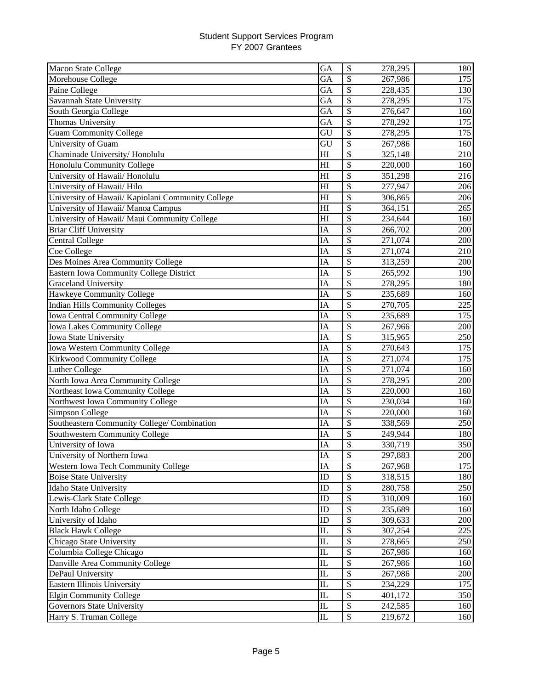| Macon State College                               | GA                     | \$                       | 278,295 | 180 |
|---------------------------------------------------|------------------------|--------------------------|---------|-----|
| Morehouse College                                 | GA                     | \$                       | 267,986 | 175 |
| Paine College                                     | GA                     | \$                       | 228,435 | 130 |
| Savannah State University                         | GA                     | \$                       | 278,295 | 175 |
| South Georgia College                             | GA                     | \$                       | 276,647 | 160 |
| Thomas University                                 | GA                     | $\overline{\mathcal{S}}$ | 278,292 | 175 |
| <b>Guam Community College</b>                     | GU                     | \$                       | 278,295 | 175 |
| University of Guam                                | GU                     | \$                       | 267,986 | 160 |
| Chaminade University/Honolulu                     | H1                     | \$                       | 325,148 | 210 |
| Honolulu Community College                        | H1                     | \$                       | 220,000 | 160 |
| University of Hawaii/ Honolulu                    | H1                     | \$                       | 351,298 | 216 |
| University of Hawaii/ Hilo                        | H1                     | \$                       | 277,947 | 206 |
| University of Hawaii/ Kapiolani Community College | H1                     | \$                       | 306,865 | 206 |
| University of Hawaii/ Manoa Campus                | H1                     | \$                       | 364,151 | 265 |
| University of Hawaii/ Maui Community College      | H                      | $\overline{\$}$          | 234,644 | 160 |
| <b>Briar Cliff University</b>                     | IA                     | \$                       | 266,702 | 200 |
| <b>Central College</b>                            | IA                     | \$                       | 271,074 | 200 |
| Coe College                                       | IA                     | \$                       | 271,074 | 210 |
| Des Moines Area Community College                 | IA                     | \$                       | 313,259 | 200 |
| Eastern Iowa Community College District           | IA                     | \$                       | 265,992 | 190 |
| Graceland University                              | IA                     | \$                       | 278,295 | 180 |
| Hawkeye Community College                         | IA                     | \$                       | 235,689 | 160 |
| <b>Indian Hills Community Colleges</b>            | IA                     | \$                       | 270,705 | 225 |
| Iowa Central Community College                    | IA                     | \$                       | 235,689 | 175 |
| Iowa Lakes Community College                      | IA                     | \$                       | 267,966 | 200 |
| Iowa State University                             | IA                     | \$                       | 315,965 | 250 |
| Iowa Western Community College                    | IA                     | \$                       | 270,643 | 175 |
| Kirkwood Community College                        | IA                     | \$                       | 271,074 | 175 |
| Luther College                                    | IA                     | \$                       | 271,074 | 160 |
| North Iowa Area Community College                 | IA                     | $\overline{\mathcal{S}}$ | 278,295 | 200 |
| Northeast Iowa Community College                  | IA                     | $\overline{\$}$          | 220,000 | 160 |
| Northwest Iowa Community College                  | IA                     | \$                       | 230,034 | 160 |
| Simpson College                                   | IA                     | \$                       | 220,000 | 160 |
| Southeastern Community College/ Combination       | IA                     | \$                       | 338,569 | 250 |
| Southwestern Community College                    | IA                     | \$                       | 249,944 | 180 |
| University of Iowa                                | IA                     | \$                       | 330,719 | 350 |
| University of Northern Iowa                       | IA                     | \$                       | 297,883 | 200 |
| Western Iowa Tech Community College               | IA                     | \$                       | 267,968 | 175 |
| <b>Boise State University</b>                     | ID                     | \$                       | 318,515 | 180 |
| Idaho State University                            | ID                     | \$                       | 280,758 | 250 |
| Lewis-Clark State College                         | ID                     | \$                       | 310,009 | 160 |
| North Idaho College                               | ID                     | \$                       | 235,689 | 160 |
| University of Idaho                               | ID                     | \$                       | 309,633 | 200 |
| <b>Black Hawk College</b>                         | IL                     | \$                       | 307,254 | 225 |
| Chicago State University                          | $\mathop{\mathrm{IL}}$ | \$                       | 278,665 | 250 |
| Columbia College Chicago                          | IL                     | \$                       | 267,986 | 160 |
| Danville Area Community College                   | IL                     | \$                       | 267,986 | 160 |
| DePaul University                                 | IL                     | \$                       | 267,986 | 200 |
| Eastern Illinois University                       | $\mathop{\mathrm{IL}}$ | \$                       | 234,229 | 175 |
| <b>Elgin Community College</b>                    | $\rm IL$               | \$                       | 401,172 | 350 |
| <b>Governors State University</b>                 | $\mathbbm{L}$          | \$                       | 242,585 | 160 |
| Harry S. Truman College                           | $\mathbbm{L}$          | \$                       | 219,672 | 160 |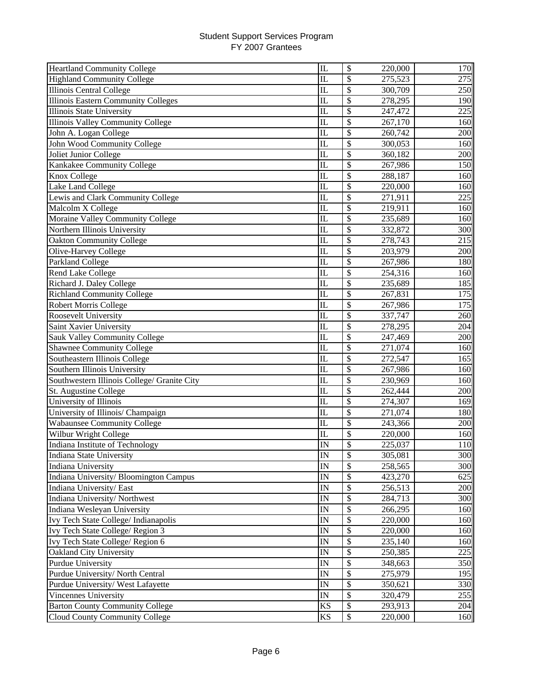| <b>Heartland Community College</b>          | IL                      | \$<br>220,000                       | 170          |
|---------------------------------------------|-------------------------|-------------------------------------|--------------|
| <b>Highland Community College</b>           | IL                      | \$<br>275,523                       | 275          |
| Illinois Central College                    | $\overline{\text{IL}}$  | \$<br>300,709                       | 250          |
| <b>Illinois Eastern Community Colleges</b>  | $\overline{\text{IL}}$  | \$<br>278,295                       | 190          |
| Illinois State University                   | IL                      | \$<br>247,472                       | 225          |
| <b>Illinois Valley Community College</b>    | IL                      | \$<br>267,170                       | 160          |
| John A. Logan College                       | $\overline{\mathbb{L}}$ | $\overline{\mathcal{S}}$<br>260,742 | 200          |
| John Wood Community College                 | IL                      | \$<br>300,053                       | 160          |
| Joliet Junior College                       | IL                      | \$<br>360,182                       | 200          |
| Kankakee Community College                  | IL                      | \$<br>267,986                       | 150          |
| Knox College                                | IL                      | \$<br>288,187                       | 160          |
| Lake Land College                           | $\overline{\text{IL}}$  | \$<br>220,000                       | 160          |
| Lewis and Clark Community College           | IL                      | \$<br>271,911                       | 225          |
| Malcolm X College                           | $\mathbf{L}$            | \$<br>219,911                       | 160          |
| Moraine Valley Community College            | IL                      | \$<br>235,689                       | 160          |
| Northern Illinois University                | $\overline{\text{IL}}$  | $\overline{\$}$<br>332,872          | 300          |
| <b>Oakton Community College</b>             | $\mathbf{I}$            | \$<br>278,743                       | 215          |
| Olive-Harvey College                        | IL                      | \$<br>203,979                       | 200          |
| <b>Parkland College</b>                     | IL                      | \$<br>267,986                       | 180          |
| <b>Rend Lake College</b>                    | $\overline{\text{IL}}$  | \$<br>254,316                       | 160          |
| Richard J. Daley College                    | IL                      | \$<br>235,689                       | 185          |
| <b>Richland Community College</b>           | IL                      | \$<br>267,831                       | 175          |
| Robert Morris College                       | IL                      | \$<br>267,986                       | 175          |
| Roosevelt University                        | IL                      | \$<br>337,747                       | 260          |
| Saint Xavier University                     | IL                      | \$<br>278,295                       | 204          |
| Sauk Valley Community College               | IL                      | \$<br>247,469                       | 200          |
| <b>Shawnee Community College</b>            | IL                      | \$<br>271,074                       | 160          |
| Southeastern Illinois College               | $\overline{\mathbb{L}}$ | \$<br>272,547                       | 165          |
| Southern Illinois University                | $\overline{\text{IL}}$  | $\overline{\$}$<br>267,986          | 160          |
| Southwestern Illinois College/ Granite City | $\overline{\text{IL}}$  | $\overline{\$}$<br>230,969          | 160          |
| St. Augustine College                       | $\overline{\text{IL}}$  | $\overline{\$}$<br>262,444          | 200          |
| University of Illinois                      | $\overline{\mathbb{L}}$ | $\overline{\$}$<br>274,307          | 169          |
| University of Illinois/ Champaign           | $\overline{\text{IL}}$  | $\overline{\$}$<br>271,074          | 180          |
| <b>Wabaunsee Community College</b>          | IL                      | \$<br>243,366                       | 200          |
| Wilbur Wright College                       | IL                      | \$<br>220,000                       | 160          |
| Indiana Institute of Technology             | IN                      | \$<br>225,037                       | 110          |
| Indiana State University                    | $_{\rm IN}$             | \$<br>305,081                       | 300 <b>1</b> |
| Indiana University                          | IN                      | \$<br>258,565                       | 300          |
| Indiana University/ Bloomington Campus      | IN                      | \$<br>423,270                       | 625          |
| Indiana University/ East                    | IN                      | \$<br>256,513                       | 200          |
| Indiana University/Northwest                | IN                      | \$<br>284,713                       | 300          |
| Indiana Wesleyan University                 | IN                      | \$<br>266,295                       | 160          |
| Ivy Tech State College/ Indianapolis        | IN                      | \$<br>220,000                       | 160          |
| Ivy Tech State College/Region 3             | IN                      | \$<br>220,000                       | 160          |
| Ivy Tech State College/ Region 6            | IN                      | \$<br>235,140                       | 160          |
| Oakland City University                     | IN                      | \$<br>250,385                       | 225          |
| <b>Purdue University</b>                    | IN                      | \$<br>348,663                       | 350          |
| Purdue University/ North Central            | IN                      | \$<br>275,979                       | 195          |
| Purdue University/ West Lafayette           | IN                      | $\overline{\$}$<br>350,621          | 330          |
| Vincennes University                        | $\mathbb{I}\mathcal{N}$ | \$<br>320,479                       | 255          |
| <b>Barton County Community College</b>      | KS                      | \$<br>293,913                       | 204          |
| Cloud County Community College              | KS                      | \$<br>220,000                       | 160          |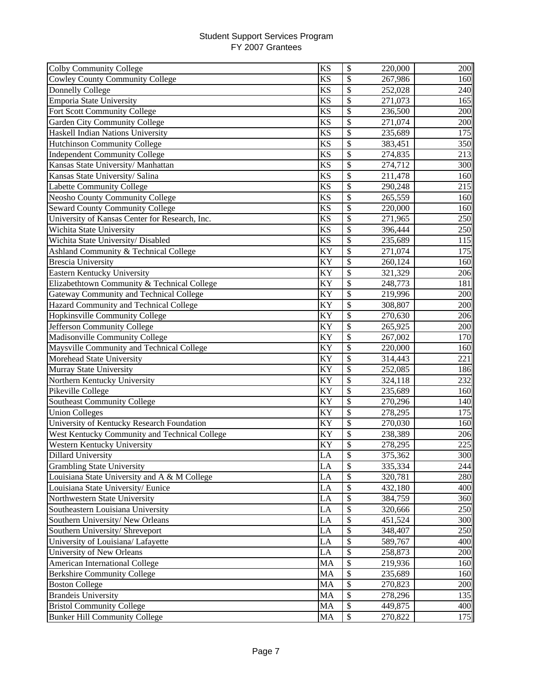| <b>Colby Community College</b>                 | <b>KS</b>              | \$                        | 220,000 | 200        |
|------------------------------------------------|------------------------|---------------------------|---------|------------|
| <b>Cowley County Community College</b>         | <b>KS</b>              | \$                        | 267,986 | 160        |
| Donnelly College                               | <b>KS</b>              | \$                        | 252,028 | 240        |
| <b>Emporia State University</b>                | <b>KS</b>              | \$                        | 271,073 | 165        |
| Fort Scott Community College                   | <b>KS</b>              | \$                        | 236,500 | 200        |
| <b>Garden City Community College</b>           | <b>KS</b>              | \$                        | 271,074 | 200        |
| Haskell Indian Nations University              | <b>KS</b>              | \$                        | 235,689 | 175        |
| <b>Hutchinson Community College</b>            | <b>KS</b>              | \$                        | 383,451 | 350        |
| <b>Independent Community College</b>           | <b>KS</b>              | \$                        | 274,835 | 213        |
| Kansas State University/ Manhattan             | <b>KS</b>              | \$                        | 274,712 | 300        |
| Kansas State University/ Salina                | <b>KS</b>              | \$                        | 211,478 | 160        |
| Labette Community College                      | <b>KS</b>              | \$                        | 290,248 | 215        |
| <b>Neosho County Community College</b>         | <b>KS</b>              | \$                        | 265,559 | 160        |
| <b>Seward County Community College</b>         | <b>KS</b>              | \$                        | 220,000 | 160        |
| University of Kansas Center for Research, Inc. | $\overline{\text{KS}}$ | $\overline{\$}$           | 271,965 | 250        |
| Wichita State University                       | KS                     | \$                        | 396,444 | 250        |
| Wichita State University/ Disabled             | <b>KS</b>              | \$                        | 235,689 | 115        |
| Ashland Community & Technical College          | KY                     | \$                        | 271,074 | 175        |
| <b>Brescia University</b>                      | KY                     | \$                        | 260,124 | 160        |
| <b>Eastern Kentucky University</b>             | KY                     | \$                        | 321,329 | 206        |
| Elizabethtown Community & Technical College    | KY                     | \$                        | 248,773 | 181        |
| Gateway Community and Technical College        | KY                     | \$                        | 219,996 | 200        |
| Hazard Community and Technical College         | KY                     | \$                        | 308,807 | 200        |
| Hopkinsville Community College                 | KY                     | \$                        | 270,630 | 206        |
| Jefferson Community College                    | KY                     | $\mathcal{S}$             | 265,925 | 200        |
| Madisonville Community College                 | KY                     | \$                        | 267,002 | 170        |
| Maysville Community and Technical College      | <b>KY</b>              | $\overline{\mathcal{S}}$  | 220,000 | 160        |
| Morehead State University                      | $K\overline{Y}$        | $\overline{\$}$           | 314,443 | 221        |
| Murray State University                        | KY                     | $\overline{\mathcal{S}}$  | 252,085 | 186        |
| Northern Kentucky University                   | KY                     | $\overline{\mathcal{S}}$  | 324,118 | 232        |
| Pikeville College                              | KY                     | $\overline{\$}$           | 235,689 | 160        |
| <b>Southeast Community College</b>             | KY                     | $\overline{\$}$           | 270,296 | <b>140</b> |
| <b>Union Colleges</b>                          | KY                     | \$                        | 278,295 | 175        |
| University of Kentucky Research Foundation     | KY                     | \$                        | 270,030 | 160        |
| West Kentucky Community and Technical College  | KY                     | \$                        | 238,389 | 206        |
| Western Kentucky University                    | KY                     | \$                        | 278,295 | 225        |
| Dillard University                             | LA                     | \$                        | 375,362 | 300        |
| <b>Grambling State University</b>              | LA                     | \$                        | 335,334 | 244        |
| Louisiana State University and A & M College   | LA                     | $\mathcal{S}$             | 320,781 | 280        |
| Louisiana State University/Eunice              | LA                     | \$                        | 432,180 | 400        |
| Northwestern State University                  | LA                     | \$                        | 384,759 | 360        |
| Southeastern Louisiana University              | LA                     | \$                        | 320,666 | 250        |
| Southern University/New Orleans                | LA                     | \$                        | 451,524 | 300        |
| Southern University/ Shreveport                | LA                     | \$                        | 348,407 | 250        |
| University of Louisiana/ Lafayette             | LA                     | \$                        | 589,767 | 400        |
| University of New Orleans                      | LA                     | \$                        | 258,873 | 200        |
| American International College                 | MA                     | \$                        | 219,936 | 160        |
| <b>Berkshire Community College</b>             | MA                     | \$                        | 235,689 | 160        |
| <b>Boston College</b>                          | MA                     | \$                        | 270,823 | 200        |
| <b>Brandeis University</b>                     | MA                     | \$                        | 278,296 | 135        |
| <b>Bristol Community College</b>               | MA                     | $\boldsymbol{\mathsf{S}}$ | 449,875 | 400        |
| <b>Bunker Hill Community College</b>           | MA                     | $\boldsymbol{\mathsf{S}}$ | 270,822 | 175        |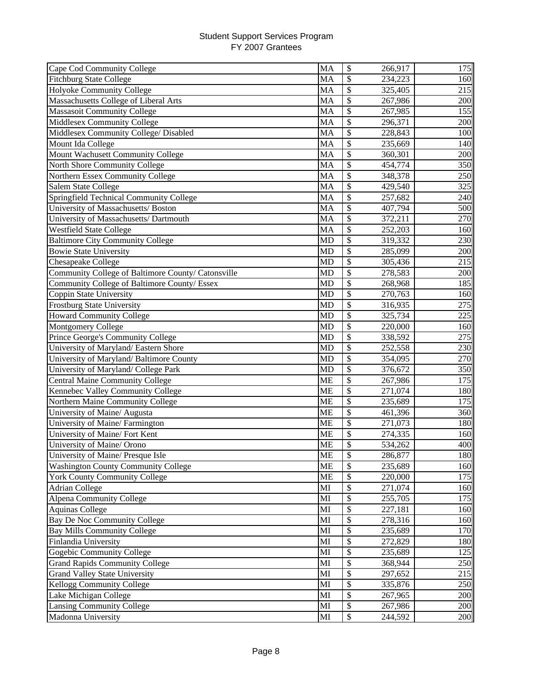| Cape Cod Community College                         | MA        | \$                       | 266,917 | 175 |
|----------------------------------------------------|-----------|--------------------------|---------|-----|
| <b>Fitchburg State College</b>                     | <b>MA</b> | \$                       | 234,223 | 160 |
| Holyoke Community College                          | <b>MA</b> | \$                       | 325,405 | 215 |
| Massachusetts College of Liberal Arts              | MA        | \$                       | 267,986 | 200 |
| <b>Massasoit Community College</b>                 | <b>MA</b> | \$                       | 267,985 | 155 |
| <b>Middlesex Community College</b>                 | <b>MA</b> | \$                       | 296,371 | 200 |
| Middlesex Community College/ Disabled              | MA        | \$                       | 228,843 | 100 |
| Mount Ida College                                  | MA        | \$                       | 235,669 | 140 |
| Mount Wachusett Community College                  | MA        | \$                       | 360,301 | 200 |
| North Shore Community College                      | MA        | \$                       | 454,774 | 350 |
| Northern Essex Community College                   | MA        | \$                       | 348,378 | 250 |
| Salem State College                                | <b>MA</b> | \$                       | 429,540 | 325 |
| Springfield Technical Community College            | MA        | \$                       | 257,682 | 240 |
| University of Massachusetts/ Boston                | MA        | \$                       | 407,794 | 500 |
| University of Massachusetts/ Dartmouth             | MA        | \$                       | 372,211 | 270 |
| <b>Westfield State College</b>                     | MA        | $\overline{\$}$          | 252,203 | 160 |
| <b>Baltimore City Community College</b>            | <b>MD</b> | \$                       | 319,332 | 230 |
| <b>Bowie State University</b>                      | <b>MD</b> | \$                       | 285,099 | 200 |
| Chesapeake College                                 | <b>MD</b> | \$                       | 305,436 | 215 |
| Community College of Baltimore County/ Catonsville | <b>MD</b> | \$                       | 278,583 | 200 |
| Community College of Baltimore County/ Essex       | <b>MD</b> | \$                       | 268,968 | 185 |
| Coppin State University                            | <b>MD</b> | \$                       | 270,763 | 160 |
| Frostburg State University                         | <b>MD</b> | \$                       | 316,935 | 275 |
| <b>Howard Community College</b>                    | <b>MD</b> | \$                       | 325,734 | 225 |
| <b>Montgomery College</b>                          | <b>MD</b> | \$                       | 220,000 | 160 |
| Prince George's Community College                  | <b>MD</b> | \$                       | 338,592 | 275 |
| University of Maryland/ Eastern Shore              | <b>MD</b> | \$                       | 252,558 | 230 |
| University of Maryland/Baltimore County            | <b>MD</b> | $\overline{\$}$          | 354,095 | 270 |
| University of Maryland/ College Park               | <b>MD</b> | \$                       | 376,672 | 350 |
| <b>Central Maine Community College</b>             | <b>ME</b> | \$                       | 267,986 | 175 |
| Kennebec Valley Community College                  | <b>ME</b> | \$                       | 271,074 | 180 |
| Northern Maine Community College                   | <b>ME</b> | $\overline{\mathcal{S}}$ | 235,689 | 175 |
| University of Maine/ Augusta                       | <b>ME</b> | \$                       | 461,396 | 360 |
| University of Maine/ Farmington                    | <b>ME</b> | \$                       | 271,073 | 180 |
| University of Maine/ Fort Kent                     | <b>ME</b> | \$                       | 274,335 | 160 |
| University of Maine/ Orono                         | <b>ME</b> | \$                       | 534,262 | 400 |
| University of Maine/ Presque Isle                  | МE        | \$                       | 286,877 | 180 |
| <b>Washington County Community College</b>         | <b>ME</b> | \$                       | 235,689 | 160 |
| <b>York County Community College</b>               | <b>ME</b> | \$                       | 220,000 | 175 |
| <b>Adrian College</b>                              | MI        | \$                       | 271,074 | 160 |
| <b>Alpena Community College</b>                    | MI        | \$                       | 255,705 | 175 |
| <b>Aquinas College</b>                             | MI        | \$                       | 227,181 | 160 |
| <b>Bay De Noc Community College</b>                | MI        | \$                       | 278,316 | 160 |
| <b>Bay Mills Community College</b>                 | MI        | \$                       | 235,689 | 170 |
| Finlandia University                               | MI        | \$                       | 272,829 | 180 |
| Gogebic Community College                          | MI        | \$                       | 235,689 | 125 |
| <b>Grand Rapids Community College</b>              | MI        | \$                       | 368,944 | 250 |
| <b>Grand Valley State University</b>               | MI        | \$                       | 297,652 | 215 |
| Kellogg Community College                          | MI        | \$                       | 335,876 | 250 |
| Lake Michigan College                              | MI        | \$                       | 267,965 | 200 |
| <b>Lansing Community College</b>                   | MI        | \$                       | 267,986 | 200 |
| Madonna University                                 | MI        | \$                       | 244,592 | 200 |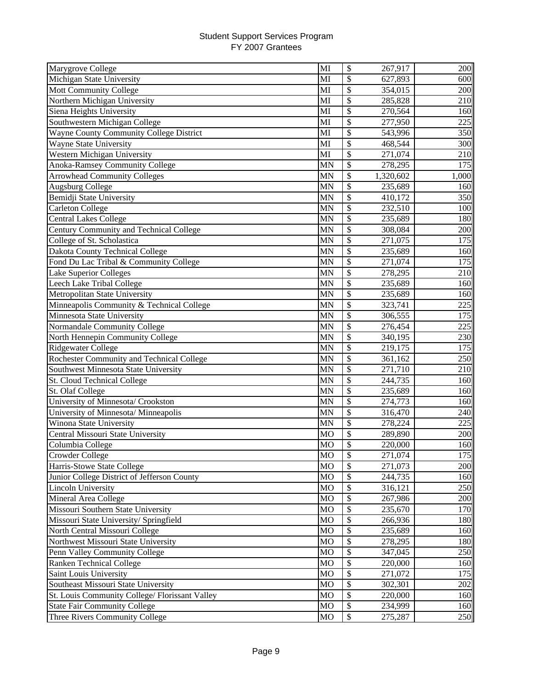| Marygrove College                              | MI        | \$                       | 267,917              | 200   |
|------------------------------------------------|-----------|--------------------------|----------------------|-------|
| Michigan State University                      | MI        | \$                       | 627,893              | 600   |
| Mott Community College                         | MI        | \$                       | 354,015              | 200   |
| Northern Michigan University                   | MI        | \$                       | 285,828              | 210   |
| Siena Heights University                       | MI        | \$                       | 270,564              | 160   |
| Southwestern Michigan College                  | MI        | $\overline{\mathcal{S}}$ | $\overline{277,950}$ | 225   |
| Wayne County Community College District        | MI        | \$                       | 543,996              | 350   |
| Wayne State University                         | MI        | \$                       | 468,544              | 300   |
| Western Michigan University                    | MI        | \$                       | 271,074              | 210   |
| Anoka-Ramsey Community College                 | <b>MN</b> | \$                       | 278,295              | 175   |
| <b>Arrowhead Community Colleges</b>            | <b>MN</b> | \$                       | 1,320,602            | 1,000 |
| <b>Augsburg College</b>                        | MN        | \$                       | 235,689              | 160   |
| Bemidji State University                       | MN        | \$                       | 410,172              | 350   |
| <b>Carleton College</b>                        | <b>MN</b> | \$                       | 232,510              | 100   |
| <b>Central Lakes College</b>                   | <b>MN</b> | $\overline{\$}$          | 235,689              | 180   |
| Century Community and Technical College        | MN        | \$                       | 308,084              | 200   |
| College of St. Scholastica                     | MN        | \$                       | 271,075              | 175   |
| Dakota County Technical College                | MN        | \$                       | 235,689              | 160   |
| Fond Du Lac Tribal & Community College         | <b>MN</b> | \$                       | 271,074              | 175   |
| Lake Superior Colleges                         | MN        | \$                       | 278,295              | 210   |
| Leech Lake Tribal College                      | <b>MN</b> | \$                       | 235,689              | 160   |
| Metropolitan State University                  | <b>MN</b> | \$                       | 235,689              | 160   |
| Minneapolis Community & Technical College      | <b>MN</b> | \$                       | 323,741              | 225   |
| Minnesota State University                     | <b>MN</b> | \$                       | 306,555              | 175   |
| Normandale Community College                   | <b>MN</b> | \$                       | 276,454              | 225   |
| North Hennepin Community College               | MN        | \$                       | 340,195              | 230   |
| Ridgewater College                             | <b>MN</b> | \$                       | 219,175              | 175   |
| Rochester Community and Technical College      | MN        | \$                       | 361,162              | 250   |
| Southwest Minnesota State University           | <b>MN</b> | $\overline{\mathcal{S}}$ | 271,710              | 210   |
| St. Cloud Technical College                    | <b>MN</b> | \$                       | 244,735              | 160   |
| St. Olaf College                               | MN        | $\overline{\mathcal{S}}$ | 235,689              | 160   |
| University of Minnesota/ Crookston             | <b>MN</b> | $\overline{\mathcal{S}}$ | 274,773              | 160   |
| University of Minnesota/ Minneapolis           | <b>MN</b> | \$                       | 316,470              | 240   |
| Winona State University                        | <b>MN</b> | \$                       | 278,224              | 225   |
| Central Missouri State University              | MO        | \$                       | 289,890              | 200   |
| Columbia College                               | <b>MO</b> | \$                       | 220,000              | 160   |
| Crowder College                                | MO        | \$                       | 271,074              | 175   |
| Harris-Stowe State College                     | <b>MO</b> | \$                       | 271,073              | 200   |
| Junior College District of Jefferson County    | <b>MO</b> | $\mathcal{S}$            | 244,735              | 160   |
| <b>Lincoln University</b>                      | MO        | \$                       | 316,121              | 250   |
| Mineral Area College                           | <b>MO</b> | \$                       | 267,986              | 200   |
| Missouri Southern State University             | MO        | \$                       | 235,670              | 170   |
| Missouri State University/ Springfield         | MO        | \$                       | 266,936              | 180   |
| North Central Missouri College                 | <b>MO</b> | \$                       | 235,689              | 160   |
| Northwest Missouri State University            | MO        | \$                       | 278,295              | 180   |
| Penn Valley Community College                  | MO        | \$                       | 347,045              | 250   |
| Ranken Technical College                       | MO        | \$                       | 220,000              | 160   |
| Saint Louis University                         | <b>MO</b> | \$                       | 271,072              | 175   |
| Southeast Missouri State University            | MO        | \$                       | 302,301              | 202   |
| St. Louis Community College/ Florissant Valley | MO        | \$                       | 220,000              | 160   |
| <b>State Fair Community College</b>            | <b>MO</b> | \$                       | 234,999              | 160   |
| Three Rivers Community College                 | <b>MO</b> | \$                       | 275,287              | 250   |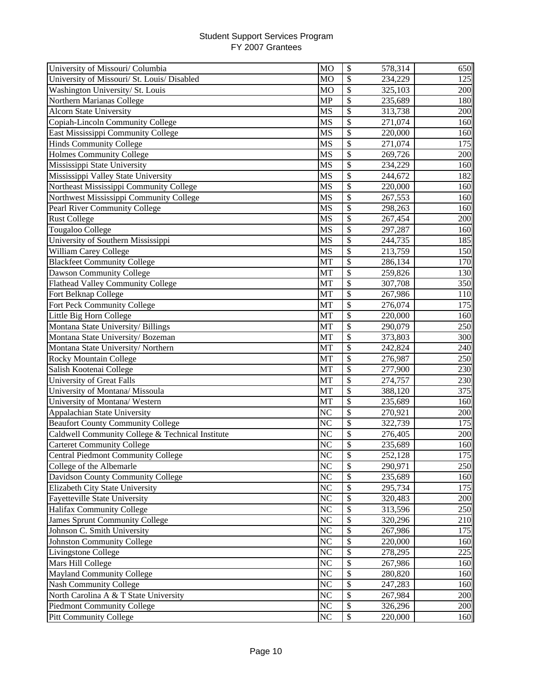| University of Missouri/ Columbia                 | <b>MO</b>      | \$                       | 578,314 | 650 |
|--------------------------------------------------|----------------|--------------------------|---------|-----|
| University of Missouri/ St. Louis/ Disabled      | <b>MO</b>      | \$                       | 234,229 | 125 |
| Washington University/ St. Louis                 | <b>MO</b>      | \$                       | 325,103 | 200 |
| Northern Marianas College                        | <b>MP</b>      | \$                       | 235,689 | 180 |
| <b>Alcorn State University</b>                   | <b>MS</b>      | \$                       | 313,738 | 200 |
| Copiah-Lincoln Community College                 | <b>MS</b>      | \$                       | 271,074 | 160 |
| East Mississippi Community College               | MS             | \$                       | 220,000 | 160 |
| <b>Hinds Community College</b>                   | <b>MS</b>      | \$                       | 271,074 | 175 |
| <b>Holmes Community College</b>                  | <b>MS</b>      | \$                       | 269,726 | 200 |
| Mississippi State University                     | <b>MS</b>      | \$                       | 234,229 | 160 |
| Mississippi Valley State University              | <b>MS</b>      | \$                       | 244,672 | 182 |
| Northeast Mississippi Community College          | <b>MS</b>      | \$                       | 220,000 | 160 |
| Northwest Mississippi Community College          | MS             | \$                       | 267,553 | 160 |
| Pearl River Community College                    | MS             | \$                       | 298,263 | 160 |
| <b>Rust College</b>                              | MS             | \$                       | 267,454 | 200 |
| Tougaloo College                                 | <b>MS</b>      | $\overline{\$}$          | 297,287 | 160 |
| University of Southern Mississippi               | MS             | \$                       | 244,735 | 185 |
| William Carey College                            | <b>MS</b>      | \$                       | 213,759 | 150 |
| <b>Blackfeet Community College</b>               | MT             | \$                       | 286,134 | 170 |
| Dawson Community College                         | MT             | \$                       | 259,826 | 130 |
| <b>Flathead Valley Community College</b>         | MT             | \$                       | 307,708 | 350 |
| Fort Belknap College                             | MT             | \$                       | 267,986 | 110 |
| Fort Peck Community College                      | MT             | \$                       | 276,074 | 175 |
| Little Big Horn College                          | <b>MT</b>      | \$                       | 220,000 | 160 |
| Montana State University/ Billings               | MT             | \$                       | 290,079 | 250 |
| Montana State University/Bozeman                 | MT             | \$                       | 373,803 | 300 |
| Montana State University/Northern                | MT             | \$                       | 242,824 | 240 |
| <b>Rocky Mountain College</b>                    | MT             | \$                       | 276,987 | 250 |
| Salish Kootenai College                          | MT             | \$                       | 277,900 | 230 |
| <b>University of Great Falls</b>                 | MT             | $\overline{\mathcal{S}}$ | 274,757 | 230 |
| University of Montana/Missoula                   | MT             | $\overline{\mathcal{S}}$ | 388,120 | 375 |
| University of Montana/ Western                   | MT             | $\overline{\$}$          | 235,689 | 160 |
| Appalachian State University                     | NC             | $\overline{\$}$          | 270,921 | 200 |
| <b>Beaufort County Community College</b>         | NC             | \$                       | 322,739 | 175 |
| Caldwell Community College & Technical Institute | N <sub>C</sub> | \$                       | 276,405 | 200 |
| <b>Carteret Community College</b>                | NC             | \$                       | 235,689 | 160 |
| <b>Central Piedmont Community College</b>        | NC             | \$                       | 252,128 | 175 |
| College of the Albemarle                         | N <sub>C</sub> | \$                       | 290,971 | 250 |
| Davidson County Community College                | NC             | \$                       | 235,689 | 160 |
| Elizabeth City State University                  | NC             | \$                       | 295,734 | 175 |
| <b>Fayetteville State University</b>             | NC             | \$                       | 320,483 | 200 |
| Halifax Community College                        | NC             | \$                       | 313,596 | 250 |
| James Sprunt Community College                   | NC             | \$                       | 320,296 | 210 |
| Johnson C. Smith University                      | NC             | \$                       | 267,986 | 175 |
| Johnston Community College                       | NC             | \$                       | 220,000 | 160 |
| Livingstone College                              | NC             | \$                       | 278,295 | 225 |
| Mars Hill College                                | NC             | \$                       | 267,986 | 160 |
| <b>Mayland Community College</b>                 | NC             | \$                       | 280,820 | 160 |
| <b>Nash Community College</b>                    | NC             | \$                       | 247,283 | 160 |
| North Carolina A & T State University            | NC             | \$                       | 267,984 | 200 |
| <b>Piedmont Community College</b>                | NC             | \$                       | 326,296 | 200 |
| <b>Pitt Community College</b>                    | $\rm NC$       | \$                       | 220,000 | 160 |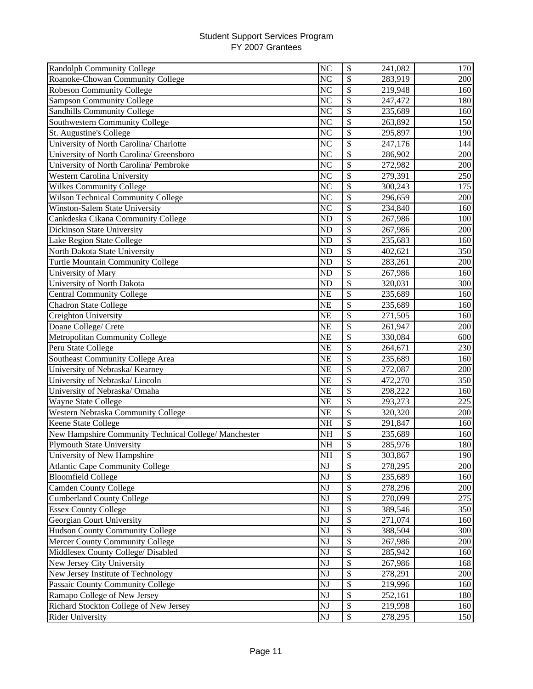| Randolph Community College                            | N <sub>C</sub>         | \$<br>241,082                        | 170          |
|-------------------------------------------------------|------------------------|--------------------------------------|--------------|
| Roanoke-Chowan Community College                      | N <sub>C</sub>         | \$<br>283,919                        | 200          |
| Robeson Community College                             | NC                     | \$<br>219,948                        | 160          |
| <b>Sampson Community College</b>                      | $\overline{\text{NC}}$ | \$<br>247,472                        | 180          |
| <b>Sandhills Community College</b>                    | $\overline{\text{NC}}$ | \$<br>235,689                        | 160          |
| Southwestern Community College                        | NC                     | \$<br>263,892                        | 150          |
| St. Augustine's College                               | NC                     | \$<br>295,897                        | 190          |
| University of North Carolina/ Charlotte               | N <sub>C</sub>         | \$<br>247,176                        | 144          |
| University of North Carolina/ Greensboro              | NC                     | \$<br>286,902                        | 200          |
| University of North Carolina/ Pembroke                | NC                     | \$<br>272,982                        | 200          |
| Western Carolina University                           | NC                     | \$<br>279,391                        | 250          |
| Wilkes Community College                              | N <sub>C</sub>         | \$<br>300,243                        | 175          |
| <b>Wilson Technical Community College</b>             | N <sub>C</sub>         | \$<br>296,659                        | 200          |
| <b>Winston-Salem State University</b>                 | N <sub>C</sub>         | \$<br>234,840                        | 160          |
| Cankdeska Cikana Community College                    | <b>ND</b>              | \$<br>267,986                        | 100          |
| Dickinson State University                            | <b>ND</b>              | $\overline{\$}$<br>267,986           | 200          |
| Lake Region State College                             | N <sub>D</sub>         | \$<br>235,683                        | 160          |
| North Dakota State University                         | N <sub>D</sub>         | \$<br>402,621                        | 350          |
| <b>Turtle Mountain Community College</b>              | N <sub>D</sub>         | \$<br>283,261                        | 200          |
| University of Mary                                    | N <sub>D</sub>         | \$<br>267,986                        | 160          |
| University of North Dakota                            | <b>ND</b>              | \$<br>320,031                        | 300          |
| <b>Central Community College</b>                      | <b>NE</b>              | \$<br>235,689                        | 160          |
| <b>Chadron State College</b>                          | <b>NE</b>              | \$<br>235,689                        | 160          |
| Creighton University                                  | <b>NE</b>              | \$<br>271,505                        | 160          |
| Doane College/ Crete                                  | <b>NE</b>              | \$<br>261,947                        | 200          |
| Metropolitan Community College                        | <b>NE</b>              | \$<br>330,084                        | 600          |
| Peru State College                                    | <b>NE</b>              | \$<br>264,671                        | 230          |
| Southeast Community College Area                      | <b>NE</b>              | \$<br>235,689                        | 160          |
| University of Nebraska/ Kearney                       | <b>NE</b>              | $\overline{\mathcal{S}}$<br>272,087  | 200          |
| University of Nebraska/Lincoln                        | <b>NE</b>              | $\overline{\mathcal{S}}$<br>472,270  | 350          |
| University of Nebraska/ Omaha                         | <b>NE</b>              | \$<br>298,222                        | 160          |
| Wayne State College                                   | <b>NE</b>              | $\overline{\$}$<br>293,273           | 225          |
| Western Nebraska Community College                    | <b>NE</b>              | $\overline{\$}$<br>320,320           | 200          |
| Keene State College                                   | NH                     | \$<br>291,847                        | 160          |
| New Hampshire Community Technical College/ Manchester | NH                     | \$<br>235,689                        | 160          |
| <b>Plymouth State University</b>                      | NH                     | \$<br>285,976                        | 180          |
| University of New Hampshire                           | NH                     | \$<br>303,867                        | 190 <b>1</b> |
| <b>Atlantic Cape Community College</b>                | NJ                     | \$<br>278,295                        | 200          |
| <b>Bloomfield College</b>                             | NJ                     | \$<br>235,689                        | 160          |
| <b>Camden County College</b>                          | NJ                     | \$<br>278,296                        | 200          |
| <b>Cumberland County College</b>                      | NJ                     | \$<br>270,099                        | 275          |
| <b>Essex County College</b>                           | NJ                     | \$<br>389,546                        | 350          |
| Georgian Court University                             | NJ                     | $\boldsymbol{\mathsf{S}}$<br>271,074 | 160          |
| <b>Hudson County Community College</b>                | NJ                     | \$<br>388,504                        | 300          |
| Mercer County Community College                       | NJ                     | \$<br>267,986                        | 200          |
| Middlesex County College/ Disabled                    | NJ                     | \$<br>285,942                        | 160          |
| New Jersey City University                            | NJ                     | \$<br>267,986                        | 168          |
| New Jersey Institute of Technology                    | NJ                     | \$<br>278,291                        | 200          |
| Passaic County Community College                      | NJ                     | \$<br>219,996                        | 160          |
| Ramapo College of New Jersey                          | NJ                     | \$<br>252,161                        | 180          |
| Richard Stockton College of New Jersey                | NJ                     | \$<br>219,998                        | 160          |
| <b>Rider University</b>                               | NJ                     | $\boldsymbol{\mathsf{S}}$<br>278,295 | 150          |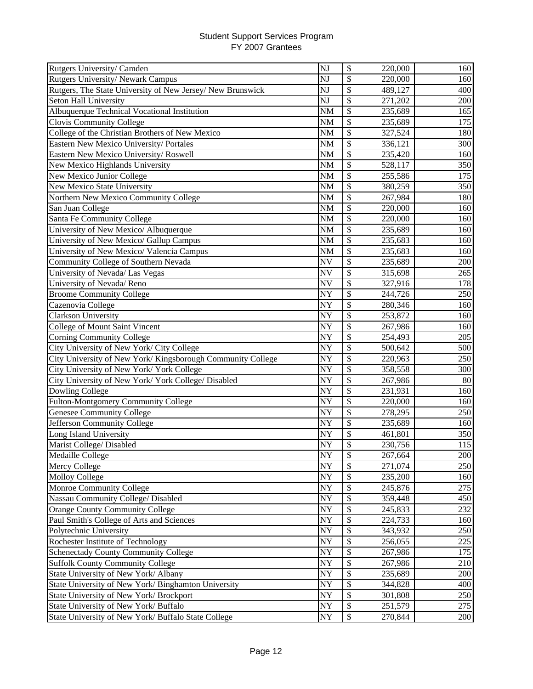| Rutgers University/ Camden                                 | $\overline{\text{NJ}}$ | \$                        | 220,000 | 160 |
|------------------------------------------------------------|------------------------|---------------------------|---------|-----|
| Rutgers University/ Newark Campus                          | NJ                     | \$                        | 220,000 | 160 |
| Rutgers, The State University of New Jersey/ New Brunswick | NJ                     | \$                        | 489,127 | 400 |
| Seton Hall University                                      | NJ                     | \$                        | 271,202 | 200 |
| Albuquerque Technical Vocational Institution               | <b>NM</b>              | \$                        | 235,689 | 165 |
| Clovis Community College                                   | <b>NM</b>              | \$                        | 235,689 | 175 |
| College of the Christian Brothers of New Mexico            | <b>NM</b>              | \$                        | 327,524 | 180 |
| Eastern New Mexico University/ Portales                    | <b>NM</b>              | \$                        | 336,121 | 300 |
| Eastern New Mexico University/Roswell                      | <b>NM</b>              | \$                        | 235,420 | 160 |
| New Mexico Highlands University                            | <b>NM</b>              | \$                        | 528,117 | 350 |
| New Mexico Junior College                                  | <b>NM</b>              | \$                        | 255,586 | 175 |
| New Mexico State University                                | <b>NM</b>              | \$                        | 380,259 | 350 |
| Northern New Mexico Community College                      | <b>NM</b>              | \$                        | 267,984 | 180 |
| San Juan College                                           | <b>NM</b>              | $\overline{\$}$           | 220,000 | 160 |
| Santa Fe Community College                                 | <b>NM</b>              | \$                        | 220,000 | 160 |
| University of New Mexico/ Albuquerque                      | <b>NM</b>              | \$                        | 235,689 | 160 |
| University of New Mexico/ Gallup Campus                    | <b>NM</b>              | \$                        | 235,683 | 160 |
| University of New Mexico/ Valencia Campus                  | <b>NM</b>              | \$                        | 235,683 | 160 |
| Community College of Southern Nevada                       | <b>NV</b>              | \$                        | 235,689 | 200 |
| University of Nevada/ Las Vegas                            | <b>NV</b>              | \$                        | 315,698 | 265 |
| University of Nevada/Reno                                  | <b>NV</b>              | \$                        | 327,916 | 178 |
| <b>Broome Community College</b>                            | NY                     | \$                        | 244,726 | 250 |
| Cazenovia College                                          | <b>NY</b>              | \$                        | 280,346 | 160 |
| <b>Clarkson University</b>                                 | NY                     | \$                        | 253,872 | 160 |
| College of Mount Saint Vincent                             | NY                     | \$                        | 267,986 | 160 |
| <b>Corning Community College</b>                           | NY                     | \$                        | 254,493 | 205 |
| City University of New York/ City College                  | NY                     | \$                        | 500,642 | 500 |
| City University of New York/Kingsborough Community College | NY                     | \$                        | 220,963 | 250 |
| City University of New York/ York College                  | NY                     | $\overline{\$}$           | 358,558 | 300 |
| City University of New York/York College/ Disabled         | NY                     | $\overline{\$}$           | 267,986 | 80  |
| Dowling College                                            | NY                     | $\overline{\$}$           | 231,931 | 160 |
| <b>Fulton-Montgomery Community College</b>                 | NY                     | \$                        | 220,000 | 160 |
| <b>Genesee Community College</b>                           | NY                     | \$                        | 278,295 | 250 |
| Jefferson Community College                                | NY                     | \$                        | 235,689 | 160 |
| Long Island University                                     | NY                     | \$                        | 461,801 | 350 |
| Marist College/ Disabled                                   | NY                     | \$                        | 230,756 | 115 |
| Medaille College                                           | <b>NY</b>              | \$                        | 267,664 | 200 |
| Mercy College                                              | NY                     | $\mathcal{S}$             | 271,074 | 250 |
| <b>Molloy College</b>                                      | NY                     | $\boldsymbol{\mathsf{S}}$ | 235,200 | 160 |
| Monroe Community College                                   | <b>NY</b>              | \$                        | 245,876 | 275 |
| Nassau Community College/ Disabled                         | NY                     | \$                        | 359,448 | 450 |
| Orange County Community College                            | NY                     | \$                        | 245,833 | 232 |
| Paul Smith's College of Arts and Sciences                  | NY                     | \$                        | 224,733 | 160 |
| Polytechnic University                                     | NY                     | \$                        | 343,932 | 250 |
| Rochester Institute of Technology                          | <b>NY</b>              | \$                        | 256,055 | 225 |
| Schenectady County Community College                       | NY                     | \$                        | 267,986 | 175 |
| <b>Suffolk County Community College</b>                    | NY                     | \$                        | 267,986 | 210 |
| State University of New York/ Albany                       | NY                     | \$                        | 235,689 | 200 |
| State University of New York/ Binghamton University        | NY                     | \$                        | 344,828 | 400 |
| State University of New York/Brockport                     | NY                     | \$                        | 301,808 | 250 |
| State University of New York/ Buffalo                      | NY                     | \$                        | 251,579 | 275 |
| State University of New York/ Buffalo State College        | NY                     | \$                        | 270,844 | 200 |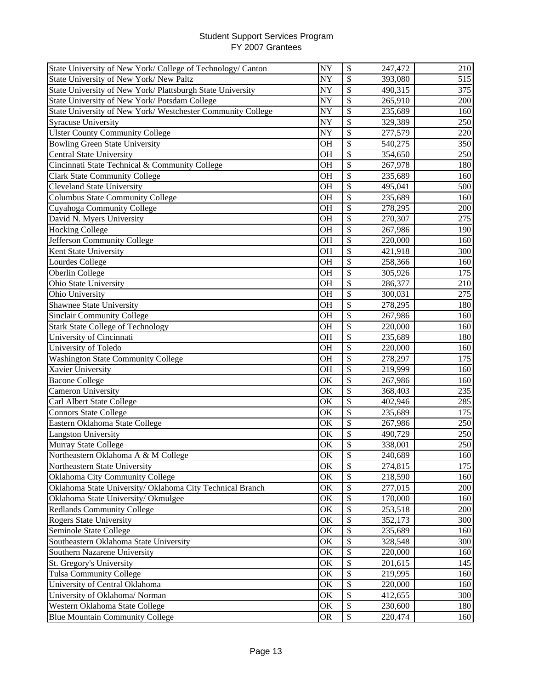| State University of New York/ College of Technology/ Canton | NY                     | $\boldsymbol{\mathsf{S}}$ | 247,472 | 210 |
|-------------------------------------------------------------|------------------------|---------------------------|---------|-----|
| State University of New York/ New Paltz                     | NY                     | \$                        | 393,080 | 515 |
| State University of New York/ Plattsburgh State University  | NY                     | $\overline{\mathcal{S}}$  | 490,315 | 375 |
| State University of New York/Potsdam College                | NY                     | \$                        | 265,910 | 200 |
| State University of New York/Westchester Community College  | NY                     | $\mathcal{S}$             | 235,689 | 160 |
| <b>Syracuse University</b>                                  | $\overline{\text{NY}}$ | \$                        | 329,389 | 250 |
| <b>Ulster County Community College</b>                      | NY                     | \$                        | 277,579 | 220 |
| <b>Bowling Green State University</b>                       | <b>OH</b>              | $\boldsymbol{\mathsf{S}}$ | 540,275 | 350 |
| <b>Central State University</b>                             | <b>OH</b>              | $\mathcal{S}$             | 354,650 | 250 |
| Cincinnati State Technical & Community College              | <b>OH</b>              | \$                        | 267,978 | 180 |
| <b>Clark State Community College</b>                        | <b>OH</b>              | \$                        | 235,689 | 160 |
| <b>Cleveland State University</b>                           | <b>OH</b>              | \$                        | 495,041 | 500 |
| <b>Columbus State Community College</b>                     | <b>OH</b>              | \$                        | 235,689 | 160 |
| Cuyahoga Community College                                  | <b>OH</b>              | \$                        | 278,295 | 200 |
| David N. Myers University                                   | <b>OH</b>              | $\overline{\$}$           | 270,307 | 275 |
| <b>Hocking College</b>                                      | <b>OH</b>              | \$                        | 267,986 | 190 |
| Jefferson Community College                                 | <b>OH</b>              | \$                        | 220,000 | 160 |
| Kent State University                                       | <b>OH</b>              | \$                        | 421,918 | 300 |
| Lourdes College                                             | <b>OH</b>              | \$                        | 258,366 | 160 |
| Oberlin College                                             | OH                     | \$                        | 305,926 | 175 |
| Ohio State University                                       | <b>OH</b>              | \$                        | 286,377 | 210 |
| Ohio University                                             | OH                     | \$                        | 300,031 | 275 |
| Shawnee State University                                    | <b>OH</b>              | \$                        | 278,295 | 180 |
| <b>Sinclair Community College</b>                           | <b>OH</b>              | \$                        | 267,986 | 160 |
| <b>Stark State College of Technology</b>                    | <b>OH</b>              | \$                        | 220,000 | 160 |
| University of Cincinnati                                    | OH                     | \$                        | 235,689 | 180 |
| University of Toledo                                        | <b>OH</b>              | \$                        | 220,000 | 160 |
| <b>Washington State Community College</b>                   | <b>OH</b>              | \$                        | 278,297 | 175 |
| Xavier University                                           | <b>OH</b>              | $\overline{\mathcal{S}}$  | 219,999 | 160 |
| <b>Bacone College</b>                                       | OK                     | \$                        | 267,986 | 160 |
| Cameron University                                          | OK                     | $\overline{\mathcal{S}}$  | 368,403 | 235 |
| Carl Albert State College                                   | OK                     | $\overline{\mathcal{S}}$  | 402,946 | 285 |
| <b>Connors State College</b>                                | OK                     | \$                        | 235,689 | 175 |
| Eastern Oklahoma State College                              | OK                     | \$                        | 267,986 | 250 |
| <b>Langston University</b>                                  | ОK                     | \$                        | 490,729 | 250 |
| Murray State College                                        | OK                     | \$                        | 338,001 | 250 |
| Northeastern Oklahoma A & M College                         | OK                     | \$                        | 240,689 | 160 |
| Northeastern State University                               | OK                     | \$                        | 274,815 | 175 |
| Oklahoma City Community College                             | OK                     | \$                        | 218,590 | 160 |
| Oklahoma State University/ Oklahoma City Technical Branch   | OK                     | \$                        | 277,015 | 200 |
| Oklahoma State University/Okmulgee                          | OK                     | \$                        | 170,000 | 160 |
| <b>Redlands Community College</b>                           | OK                     | \$                        | 253,518 | 200 |
| <b>Rogers State University</b>                              | OK                     | \$                        | 352,173 | 300 |
| Seminole State College                                      | OK                     | \$                        | 235,689 | 160 |
| Southeastern Oklahoma State University                      | OK                     | \$                        | 328,548 | 300 |
| Southern Nazarene University                                | OK                     | \$                        | 220,000 | 160 |
| St. Gregory's University                                    | OK                     | \$                        | 201,615 | 145 |
| Tulsa Community College                                     | OK                     | \$                        | 219,995 | 160 |
| University of Central Oklahoma                              | OK                     | \$                        | 220,000 | 160 |
| University of Oklahoma/ Norman                              | OK                     | \$                        | 412,655 | 300 |
| Western Oklahoma State College                              | OK                     | \$                        | 230,600 | 180 |
| <b>Blue Mountain Community College</b>                      | <b>OR</b>              | $\boldsymbol{\mathsf{S}}$ | 220,474 | 160 |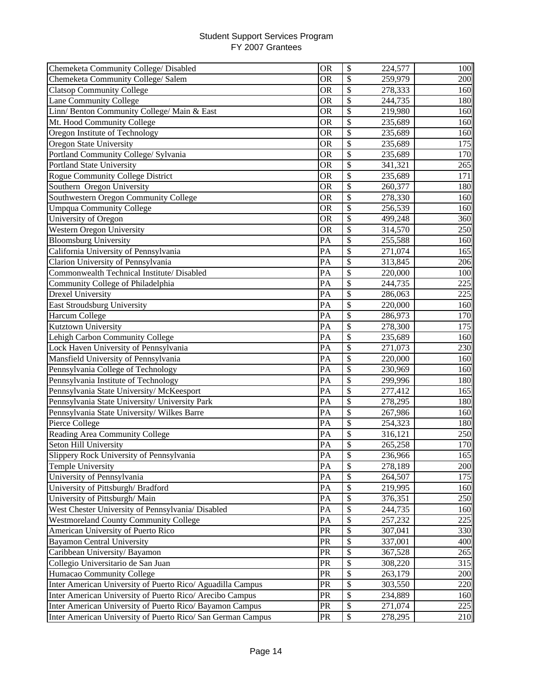| Chemeketa Community College/ Disabled                       | <b>OR</b> | \$                        | 224,577 | 100 |
|-------------------------------------------------------------|-----------|---------------------------|---------|-----|
| Chemeketa Community College/Salem                           | <b>OR</b> | \$                        | 259,979 | 200 |
| <b>Clatsop Community College</b>                            | <b>OR</b> | \$                        | 278,333 | 160 |
| Lane Community College                                      | <b>OR</b> | \$                        | 244,735 | 180 |
| Linn/Benton Community College/Main & East                   | <b>OR</b> | \$                        | 219,980 | 160 |
| Mt. Hood Community College                                  | <b>OR</b> | \$                        | 235,689 | 160 |
| Oregon Institute of Technology                              | <b>OR</b> | \$                        | 235,689 | 160 |
| Oregon State University                                     | <b>OR</b> | \$                        | 235,689 | 175 |
| Portland Community College/ Sylvania                        | <b>OR</b> | \$                        | 235,689 | 170 |
| Portland State University                                   | <b>OR</b> | \$                        | 341,321 | 265 |
| <b>Rogue Community College District</b>                     | <b>OR</b> | \$                        | 235,689 | 171 |
| Southern Oregon University                                  | <b>OR</b> | \$                        | 260,377 | 180 |
| Southwestern Oregon Community College                       | OR        | \$                        | 278,330 | 160 |
| <b>Umpqua Community College</b>                             | <b>OR</b> | \$                        | 256,539 | 160 |
| University of Oregon                                        | <b>OR</b> | $\overline{\$}$           | 499,248 | 360 |
| <b>Western Oregon University</b>                            | <b>OR</b> | \$                        | 314,570 | 250 |
| <b>Bloomsburg University</b>                                | PA        | \$                        | 255,588 | 160 |
| California University of Pennsylvania                       | PA        | \$                        | 271,074 | 165 |
| Clarion University of Pennsylvania                          | PA        | \$                        | 313,845 | 206 |
| Commonwealth Technical Institute/ Disabled                  | PA        | \$                        | 220,000 | 100 |
| Community College of Philadelphia                           | PA        | \$                        | 244,735 | 225 |
| <b>Drexel University</b>                                    | PA        | \$                        | 286,063 | 225 |
| <b>East Stroudsburg University</b>                          | PA        | \$                        | 220,000 | 160 |
| Harcum College                                              | PA        | \$                        | 286,973 | 170 |
| Kutztown University                                         | PA        | \$                        | 278,300 | 175 |
| Lehigh Carbon Community College                             | PA        | \$                        | 235,689 | 160 |
| Lock Haven University of Pennsylvania                       | PA        | $\overline{\mathcal{S}}$  | 271,073 | 230 |
| Mansfield University of Pennsylvania                        | PA        | \$                        | 220,000 | 160 |
| Pennsylvania College of Technology                          | PA        | $\overline{\mathcal{S}}$  | 230,969 | 160 |
| Pennsylvania Institute of Technology                        | PA        | \$                        | 299,996 | 180 |
| Pennsylvania State University/ McKeesport                   | PA        | $\overline{\mathcal{S}}$  | 277,412 | 165 |
| Pennsylvania State University/ University Park              | PA        | $\overline{\mathcal{S}}$  | 278,295 | 180 |
| Pennsylvania State University/ Wilkes Barre                 | PA        | \$                        | 267,986 | 160 |
| Pierce College                                              | PA        | \$                        | 254,323 | 180 |
| Reading Area Community College                              | PA        | \$                        | 316,121 | 250 |
| Seton Hill University                                       | PA        | \$                        | 265,258 | 170 |
| Slippery Rock University of Pennsylvania                    | PA        | \$                        | 236,966 | 165 |
| Temple University                                           | PA        | \$                        | 278,189 | 200 |
| University of Pennsylvania                                  | PA        | \$                        | 264,507 | 175 |
| University of Pittsburgh/Bradford                           | PA        | \$                        | 219,995 | 160 |
| University of Pittsburgh/ Main                              | PA        | \$                        | 376,351 | 250 |
| West Chester University of Pennsylvania/ Disabled           | PA        | \$                        | 244,735 | 160 |
| <b>Westmoreland County Community College</b>                | PA        | \$                        | 257,232 | 225 |
| American University of Puerto Rico                          | PR        | \$                        | 307,041 | 330 |
| <b>Bayamon Central University</b>                           | PR        | \$                        | 337,001 | 400 |
| Caribbean University/Bayamon                                | PR        | \$                        | 367,528 | 265 |
| Collegio Universitario de San Juan                          | PR        | \$                        | 308,220 | 315 |
| Humacao Community College                                   | PR        | \$                        | 263,179 | 200 |
| Inter American University of Puerto Rico/ Aguadilla Campus  | PR        | \$                        | 303,550 | 220 |
| Inter American University of Puerto Rico/ Arecibo Campus    | PR        | \$                        | 234,889 | 160 |
| Inter American University of Puerto Rico/ Bayamon Campus    | PR        | \$                        | 271,074 | 225 |
| Inter American University of Puerto Rico/ San German Campus | PR        | $\boldsymbol{\mathsf{S}}$ | 278,295 | 210 |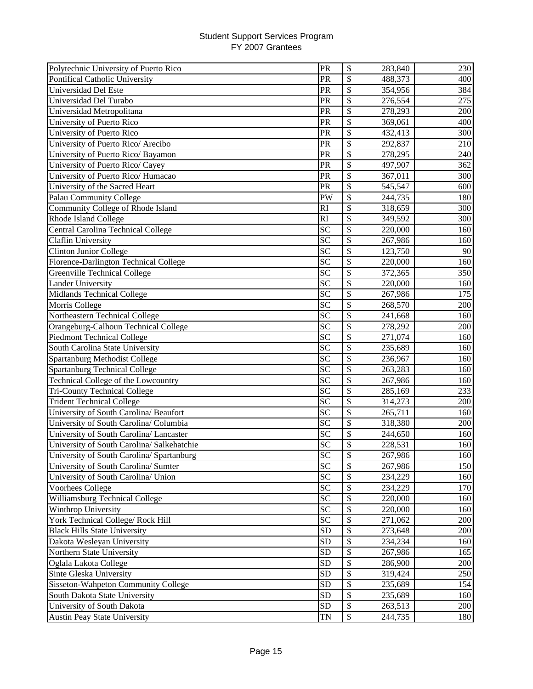| Polytechnic University of Puerto Rico      | PR              | \$<br>283,840                       | 230 |
|--------------------------------------------|-----------------|-------------------------------------|-----|
| Pontifical Catholic University             | PR              | \$<br>488,373                       | 400 |
| Universidad Del Este                       | PR              | $\overline{\mathcal{S}}$<br>354,956 | 384 |
| Universidad Del Turabo                     | PR              | \$<br>276,554                       | 275 |
| Universidad Metropolitana                  | PR              | \$<br>278,293                       | 200 |
| University of Puerto Rico                  | PR              | \$<br>369,061                       | 400 |
| University of Puerto Rico                  | PR              | \$<br>432,413                       | 300 |
| University of Puerto Rico/ Arecibo         | PR              | \$<br>292,837                       | 210 |
| University of Puerto Rico/ Bayamon         | PR              | \$<br>278,295                       | 240 |
| University of Puerto Rico/ Cayey           | PR              | \$<br>497,907                       | 362 |
| University of Puerto Rico/ Humacao         | PR              | \$<br>367,011                       | 300 |
| University of the Sacred Heart             | PR              | \$<br>545,547                       | 600 |
| Palau Community College                    | PW              | \$<br>244,735                       | 180 |
| Community College of Rhode Island          | RI              | \$<br>318,659                       | 300 |
| Rhode Island College                       | RI              | \$<br>349,592                       | 300 |
| Central Carolina Technical College         | <b>SC</b>       | \$<br>220,000                       | 160 |
| Claflin University                         | $\overline{SC}$ | $\overline{\$}$<br>267,986          | 160 |
| <b>Clinton Junior College</b>              | SC              | \$<br>123,750                       | 90  |
| Florence-Darlington Technical College      | SC              | \$<br>220,000                       | 160 |
| Greenville Technical College               | <b>SC</b>       | \$<br>372,365                       | 350 |
| <b>Lander University</b>                   | SC              | \$<br>220,000                       | 160 |
| <b>Midlands Technical College</b>          | SC              | \$<br>267,986                       | 175 |
| Morris College                             | SC              | \$<br>268,570                       | 200 |
| Northeastern Technical College             | <b>SC</b>       | \$<br>241,668                       | 160 |
| Orangeburg-Calhoun Technical College       | SC              | $\overline{\mathcal{S}}$<br>278,292 | 200 |
| <b>Piedmont Technical College</b>          | <b>SC</b>       | \$<br>271,074                       | 160 |
| South Carolina State University            | <b>SC</b>       | \$<br>235,689                       | 160 |
| Spartanburg Methodist College              | SC              | \$<br>236,967                       | 160 |
| <b>Spartanburg Technical College</b>       | $\overline{SC}$ | $\overline{\mathcal{S}}$<br>263,283 | 160 |
| Technical College of the Lowcountry        | $\overline{SC}$ | \$<br>267,986                       | 160 |
| <b>Tri-County Technical College</b>        | $\overline{SC}$ | $\overline{\mathcal{S}}$<br>285,169 | 233 |
| <b>Trident Technical College</b>           | $\overline{SC}$ | $\overline{\mathcal{S}}$<br>314,273 | 200 |
| University of South Carolina/ Beaufort     | SC              | \$<br>265,711                       | 160 |
| University of South Carolina/ Columbia     | $\overline{SC}$ | $\overline{\$}$<br>318,380          | 200 |
| University of South Carolina/ Lancaster    | SC              | \$<br>244,650                       | 160 |
| University of South Carolina/ Salkehatchie | SC              | \$<br>228,531                       | 160 |
| University of South Carolina/ Spartanburg  | $\overline{SC}$ | 267,986<br>\$                       | 160 |
| University of South Carolina/ Sumter       | SC              | \$<br>267,986                       | 150 |
| University of South Carolina/ Union        | SC              | \$<br>234,229                       | 160 |
| Voorhees College                           | <b>SC</b>       | \$<br>234,229                       | 170 |
| Williamsburg Technical College             | <b>SC</b>       | \$<br>220,000                       | 160 |
| Winthrop University                        | <b>SC</b>       | \$<br>220,000                       | 160 |
| York Technical College/ Rock Hill          | <b>SC</b>       | \$<br>271,062                       | 200 |
| <b>Black Hills State University</b>        | <b>SD</b>       | \$<br>273,648                       | 200 |
| Dakota Wesleyan University                 | <b>SD</b>       | \$<br>234,234                       | 160 |
| Northern State University                  | <b>SD</b>       | \$<br>267,986                       | 165 |
| Oglala Lakota College                      | <b>SD</b>       | \$<br>286,900                       | 200 |
| Sinte Gleska University                    | <b>SD</b>       | \$<br>319,424                       | 250 |
| Sisseton-Wahpeton Community College        | <b>SD</b>       | \$<br>235,689                       | 154 |
| South Dakota State University              | <b>SD</b>       | \$<br>235,689                       | 160 |
| University of South Dakota                 | <b>SD</b>       | \$<br>263,513                       | 200 |
| <b>Austin Peay State University</b>        | TN              | \$<br>244,735                       | 180 |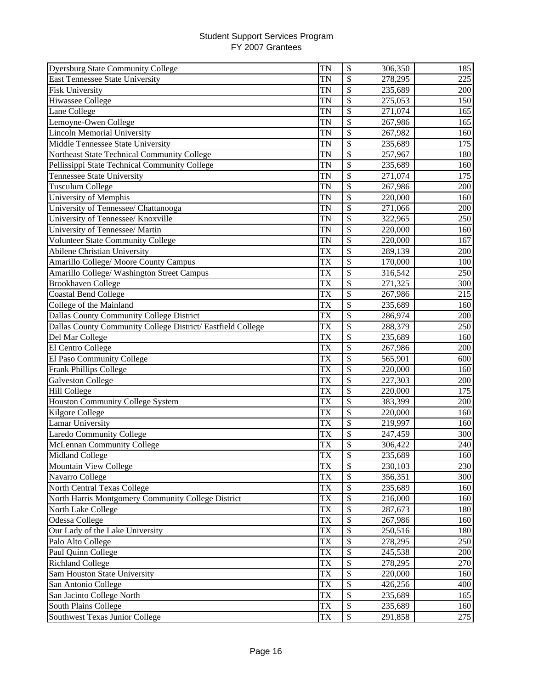| <b>Dyersburg State Community College</b>                    | <b>TN</b>              | \$<br>306,350                       | 185              |
|-------------------------------------------------------------|------------------------|-------------------------------------|------------------|
| <b>East Tennessee State University</b>                      | TN                     | \$<br>278,295                       | 225              |
| <b>Fisk University</b>                                      | <b>TN</b>              | \$<br>235,689                       | 200              |
| <b>Hiwassee College</b>                                     | <b>TN</b>              | \$<br>275,053                       | 150              |
| Lane College                                                | TN                     | \$<br>271,074                       | 165              |
| Lemoyne-Owen College                                        | TN                     | \$<br>267,986                       | 165              |
| <b>Lincoln Memorial University</b>                          | TN                     | \$<br>267,982                       | 160              |
| <b>Middle Tennessee State University</b>                    | TN                     | \$<br>235,689                       | 175              |
| Northeast State Technical Community College                 | TN                     | \$<br>257,967                       | 180              |
| Pellissippi State Technical Community College               | <b>TN</b>              | \$<br>235,689                       | 160              |
| <b>Tennessee State University</b>                           | <b>TN</b>              | \$<br>271,074                       | 175              |
| <b>Tusculum College</b>                                     | <b>TN</b>              | \$<br>267,986                       | 200              |
| University of Memphis                                       | TN                     | \$<br>220,000                       | 160              |
| University of Tennessee/ Chattanooga                        | TN                     | \$<br>271,066                       | 200              |
| University of Tennessee/ Knoxville                          | TN                     | \$<br>322,965                       | 250              |
| University of Tennessee/ Martin                             | <b>TN</b>              | \$<br>220,000                       | 160              |
| <b>Volunteer State Community College</b>                    | TN                     | \$<br>220,000                       | 167              |
| <b>Abilene Christian University</b>                         | TX                     | \$<br>289,139                       | 200              |
| Amarillo College/ Moore County Campus                       | TX                     | \$<br>170,000                       | 100              |
| Amarillo College/ Washington Street Campus                  | TX                     | \$<br>316,542                       | 250              |
| <b>Brookhaven College</b>                                   | TX                     | \$<br>271,325                       | 300              |
| <b>Coastal Bend College</b>                                 | <b>TX</b>              | \$<br>267,986                       | 215              |
| College of the Mainland                                     | <b>TX</b>              | \$<br>235,689                       | 160              |
| Dallas County Community College District                    | <b>TX</b>              | \$<br>286,974                       | 200              |
| Dallas County Community College District/ Eastfield College | TX                     | \$<br>288,379                       | 250              |
| Del Mar College                                             | <b>TX</b>              | \$<br>235,689                       | 160              |
| El Centro College                                           | TX                     | \$<br>267,986                       | 200              |
| El Paso Community College                                   | <b>TX</b>              | \$<br>565,901                       | 600              |
| Frank Phillips College                                      | $\overline{\text{TX}}$ | $\overline{\$}$<br>220,000          | 160              |
| Galveston College                                           | TX                     | $\overline{\mathcal{S}}$<br>227,303 | 200              |
| <b>Hill College</b>                                         | TX                     | $\overline{\$}$<br>220,000          | 175              |
| <b>Houston Community College System</b>                     | TX                     | $\overline{\$}$<br>383,399          | 200              |
| Kilgore College                                             | <b>TX</b>              | $\overline{\$}$<br>220,000          | 160              |
| <b>Lamar University</b>                                     | TX                     | \$<br>219,997                       | 160              |
| <b>Laredo Community College</b>                             | TX                     | \$<br>247,459                       | 300              |
| McLennan Community College                                  | TX                     | \$<br>306,422                       | 240              |
| Midland College                                             | ТX                     | \$<br>235,689                       | 160 <sub>1</sub> |
| Mountain View College                                       | TX                     | \$<br>230,103                       | 230              |
| Navarro College                                             | TX                     | \$<br>356,351                       | 300              |
| North Central Texas College                                 | TX                     | \$<br>235,689                       | 160              |
| North Harris Montgomery Community College District          | TX                     | \$<br>216,000                       | 160              |
| North Lake College                                          | TX                     | \$<br>287,673                       | 180              |
| Odessa College                                              | <b>TX</b>              | \$<br>267,986                       | 160              |
| Our Lady of the Lake University                             | <b>TX</b>              | \$<br>250,516                       | 180              |
| Palo Alto College                                           | <b>TX</b>              | \$<br>278,295                       | 250              |
| Paul Quinn College                                          | TX                     | \$<br>245,538                       | 200              |
| <b>Richland College</b>                                     | TX                     | \$<br>278,295                       | 270              |
| Sam Houston State University                                | TX                     | \$<br>220,000                       | 160              |
| San Antonio College                                         | TX                     | \$<br>426,256                       | 400              |
| San Jacinto College North                                   | TX                     | \$<br>235,689                       | 165              |
| South Plains College                                        | TX                     | \$<br>235,689                       | 160              |
| Southwest Texas Junior College                              | TX                     | \$<br>291,858                       | 275              |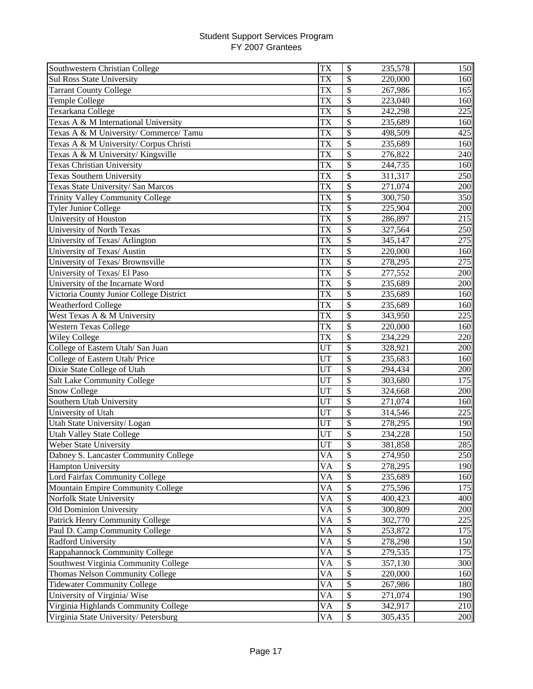| Southwestern Christian College          | TX                     | $\boldsymbol{\mathsf{S}}$<br>235,578 | 150 |
|-----------------------------------------|------------------------|--------------------------------------|-----|
| <b>Sul Ross State University</b>        | <b>TX</b>              | \$<br>220,000                        | 160 |
| <b>Tarrant County College</b>           | $\overline{\text{TX}}$ | \$<br>267,986                        | 165 |
| Temple College                          | TX                     | \$<br>223,040                        | 160 |
| Texarkana College                       | TX                     | $\boldsymbol{\mathsf{S}}$<br>242,298 | 225 |
| Texas A & M International University    | <b>TX</b>              | \$<br>235,689                        | 160 |
| Texas A & M University/ Commerce/ Tamu  | <b>TX</b>              | \$<br>498,509                        | 425 |
| Texas A & M University/ Corpus Christi  | TX                     | \$<br>235,689                        | 160 |
| Texas A & M University/ Kingsville      | TX                     | \$<br>276,822                        | 240 |
| <b>Texas Christian University</b>       | TX                     | \$<br>244,735                        | 160 |
| <b>Texas Southern University</b>        | <b>TX</b>              | \$<br>311,317                        | 250 |
| Texas State University/ San Marcos      | TX                     | $\overline{\$}$<br>271,074           | 200 |
| <b>Trinity Valley Community College</b> | TX                     | \$<br>300,750                        | 350 |
| <b>Tyler Junior College</b>             | TX                     | \$<br>225,904                        | 200 |
| University of Houston                   | <b>TX</b>              | \$<br>286,897                        | 215 |
| University of North Texas               | TX                     | \$<br>327,564                        | 250 |
| University of Texas/ Arlington          | TX                     | \$<br>345,147                        | 275 |
| University of Texas/ Austin             | TX                     | \$<br>220,000                        | 160 |
| University of Texas/ Brownsville        | <b>TX</b>              | \$<br>278,295                        | 275 |
| University of Texas/ El Paso            | TX                     | \$<br>277,552                        | 200 |
| University of the Incarnate Word        | TX                     | \$<br>235,689                        | 200 |
| Victoria County Junior College District | TX                     | \$<br>235,689                        | 160 |
| <b>Weatherford College</b>              | TX                     | \$<br>235,689                        | 160 |
| West Texas A & M University             | <b>TX</b>              | \$<br>343,950                        | 225 |
| <b>Western Texas College</b>            | <b>TX</b>              | \$<br>220,000                        | 160 |
| <b>Wiley College</b>                    | <b>TX</b>              | \$<br>234,229                        | 220 |
| College of Eastern Utah/ San Juan       | UT                     | \$<br>328,921                        | 200 |
| College of Eastern Utah/ Price          | UT                     | \$<br>235,683                        | 160 |
| Dixie State College of Utah             | UT                     | $\overline{\mathcal{S}}$<br>294,434  | 200 |
| <b>Salt Lake Community College</b>      | UT                     | \$<br>303,680                        | 175 |
| Snow College                            | UT                     | $\overline{\$}$<br>324,668           | 200 |
| Southern Utah University                | UT                     | $\overline{\$}$<br>271,074           | 160 |
| University of Utah                      | UT                     | \$<br>314,546                        | 225 |
| Utah State University/ Logan            | UT                     | \$<br>278,295                        | 190 |
| Utah Valley State College               | <b>UT</b>              | \$<br>234,228                        | 150 |
| Weber State University                  | UT                     | \$<br>381,858                        | 285 |
| Dabney S. Lancaster Community College   | VA                     | \$<br>274,950                        | 250 |
| <b>Hampton University</b>               | VA                     | \$<br>278,295                        | 190 |
| Lord Fairfax Community College          | <b>VA</b>              | $\mathcal{S}$<br>235,689             | 160 |
| Mountain Empire Community College       | VA                     | \$<br>275,596                        | 175 |
| Norfolk State University                | <b>VA</b>              | \$<br>400,423                        | 400 |
| Old Dominion University                 | <b>VA</b>              | \$<br>300,809                        | 200 |
| Patrick Henry Community College         | VA                     | \$<br>302,770                        | 225 |
| Paul D. Camp Community College          | <b>VA</b>              | \$<br>253,872                        | 175 |
| <b>Radford University</b>               | VA                     | \$<br>278,298                        | 150 |
| Rappahannock Community College          | VA                     | \$<br>279,535                        | 175 |
| Southwest Virginia Community College    | VA                     | \$<br>357,130                        | 300 |
| Thomas Nelson Community College         | <b>VA</b>              | \$<br>220,000                        | 160 |
| <b>Tidewater Community College</b>      | VA                     | \$<br>267,986                        | 180 |
| University of Virginia/Wise             | VA                     | \$<br>271,074                        | 190 |
| Virginia Highlands Community College    | VA                     | \$<br>342,917                        | 210 |
| Virginia State University/Petersburg    | VA                     | \$<br>305,435                        | 200 |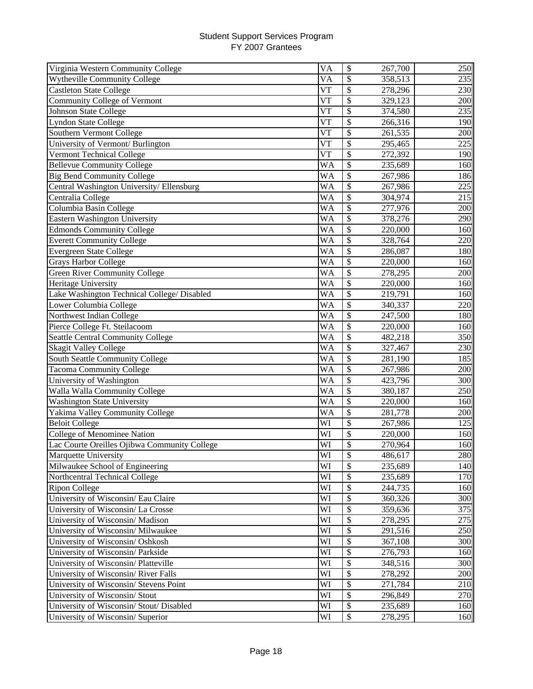| Virginia Western Community College           | VA         | \$                        | 267,700 | 250 |
|----------------------------------------------|------------|---------------------------|---------|-----|
| <b>Wytheville Community College</b>          | VA         | \$                        | 358,513 | 235 |
| <b>Castleton State College</b>               | V T        | $\boldsymbol{\mathsf{S}}$ | 278,296 | 230 |
| Community College of Vermont                 | V T        | \$                        | 329,123 | 200 |
| Johnson State College                        | V T        | \$                        | 374,580 | 235 |
| <b>Lyndon State College</b>                  | $V\bar{T}$ | \$                        | 266,316 | 190 |
| Southern Vermont College                     | VT         | \$                        | 261,535 | 200 |
| University of Vermont/ Burlington            | $V\bar{T}$ | \$                        | 295,465 | 225 |
| Vermont Technical College                    | $V\bar{T}$ | \$                        | 272,392 | 190 |
| <b>Bellevue Community College</b>            | <b>WA</b>  | \$                        | 235,689 | 160 |
| <b>Big Bend Community College</b>            | WA         | \$                        | 267,986 | 186 |
| Central Washington University/Ellensburg     | WA         | \$                        | 267,986 | 225 |
| Centralia College                            | WA         | \$                        | 304,974 | 215 |
| Columbia Basin College                       | WA         | \$                        | 277,976 | 200 |
| <b>Eastern Washington University</b>         | WA         | \$                        | 378,276 | 290 |
| Edmonds Community College                    | WA         | \$                        | 220,000 | 160 |
| <b>Everett Community College</b>             | <b>WA</b>  | \$                        | 328,764 | 220 |
| <b>Evergreen State College</b>               | <b>WA</b>  | \$                        | 286,087 | 180 |
| Grays Harbor College                         | WA         | \$                        | 220,000 | 160 |
| <b>Green River Community College</b>         | WA         | \$                        | 278,295 | 200 |
| Heritage University                          | <b>WA</b>  | \$                        | 220,000 | 160 |
| Lake Washington Technical College/ Disabled  | <b>WA</b>  | \$                        | 219,791 | 160 |
| Lower Columbia College                       | WA         | \$                        | 340,337 | 220 |
| Northwest Indian College                     | WA         | \$                        | 247,500 | 180 |
| Pierce College Ft. Steilacoom                | <b>WA</b>  | \$                        | 220,000 | 160 |
| <b>Seattle Central Community College</b>     | <b>WA</b>  | \$                        | 482,218 | 350 |
| <b>Skagit Valley College</b>                 | <b>WA</b>  | \$                        | 327,467 | 230 |
| South Seattle Community College              | <b>WA</b>  | \$                        | 281,190 | 185 |
| <b>Tacoma Community College</b>              | <b>WA</b>  | $\overline{\mathcal{S}}$  | 267,986 | 200 |
| University of Washington                     | <b>WA</b>  | $\overline{\mathcal{S}}$  | 423,796 | 300 |
| <b>Walla Walla Community College</b>         | WA         | $\overline{\mathcal{S}}$  | 380,187 | 250 |
| <b>Washington State University</b>           | WA         | $\overline{\mathcal{S}}$  | 220,000 | 160 |
| Yakima Valley Community College              | WA         | \$                        | 281,778 | 200 |
| <b>Beloit College</b>                        | WI         | \$                        | 267,986 | 125 |
| <b>College of Menominee Nation</b>           | WI         | \$                        | 220,000 | 160 |
| Lac Courte Oreilles Ojibwa Community College | WI         | \$                        | 270,964 | 160 |
| Marquette University                         | WI         | \$                        | 486,617 | 280 |
| Milwaukee School of Engineering              | WI         | $\overline{\mathcal{S}}$  | 235,689 | 140 |
| Northcentral Technical College               | WI         | \$                        | 235,689 | 170 |
| Ripon College                                | WI         | \$                        | 244,735 | 160 |
| University of Wisconsin/ Eau Claire          | WI         | \$                        | 360,326 | 300 |
| University of Wisconsin/La Crosse            | WI         | \$                        | 359,636 | 375 |
| University of Wisconsin/ Madison             | WI         | \$                        | 278,295 | 275 |
| University of Wisconsin/ Milwaukee           | WI         | \$                        | 291,516 | 250 |
| University of Wisconsin/ Oshkosh             | WI         | \$                        | 367,108 | 300 |
| University of Wisconsin/ Parkside            | WI         | \$                        | 276,793 | 160 |
| University of Wisconsin/ Platteville         | WI         | \$                        | 348,516 | 300 |
| University of Wisconsin/River Falls          | WI         | \$                        | 278,292 | 200 |
| University of Wisconsin/ Stevens Point       | WI         | \$                        | 271,784 | 210 |
| University of Wisconsin/ Stout               | WI         | \$                        | 296,849 | 270 |
| University of Wisconsin/Stout/Disabled       | WI         | \$                        | 235,689 | 160 |
| University of Wisconsin/ Superior            | WI         | $\boldsymbol{\mathsf{S}}$ | 278,295 | 160 |